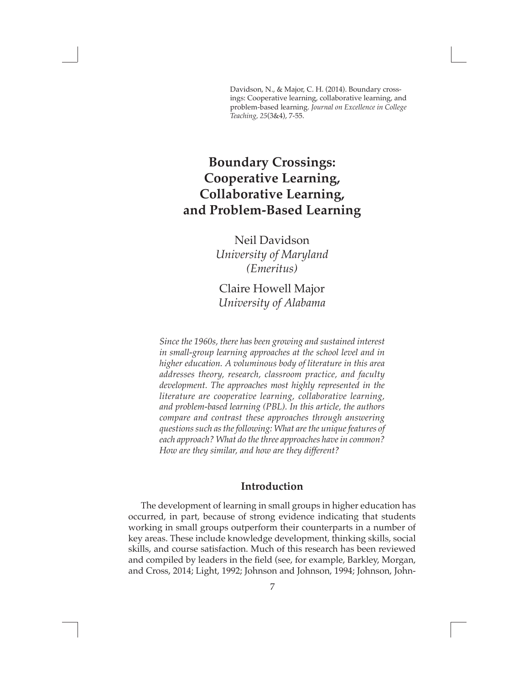Davidson, N., & Major, C. H. (2014). Boundary crossings: Cooperative learning, collaborative learning, and problem-based learning. *Journal on Excellence in College Teaching, 25*(3&4), 7-55.

# **Boundary Crossings: Cooperative Learning, Collaborative Learning, and Problem-Based Learning**

 $\Box$ 

Neil Davidson *University of Maryland (Emeritus)*

Claire Howell Major *University of Alabama*

*Since the 1960s, there has been growing and sustained interest in small-group learning approaches at the school level and in higher education. A voluminous body of literature in this area addresses theory, research, classroom practice, and faculty development. The approaches most highly represented in the literature are cooperative learning, collaborative learning, and problem-based learning (PBL). In this article, the authors compare and contrast these approaches through answering questions such as the following: What are the unique features of each approach? What do the three approaches have in common? How are they similar, and how are they different?*

## **Introduction**

 The development of learning in small groups in higher education has occurred, in part, because of strong evidence indicating that students working in small groups outperform their counterparts in a number of key areas. These include knowledge development, thinking skills, social skills, and course satisfaction. Much of this research has been reviewed and compiled by leaders in the field (see, for example, Barkley, Morgan, and Cross, 2014; Light, 1992; Johnson and Johnson, 1994; Johnson, John-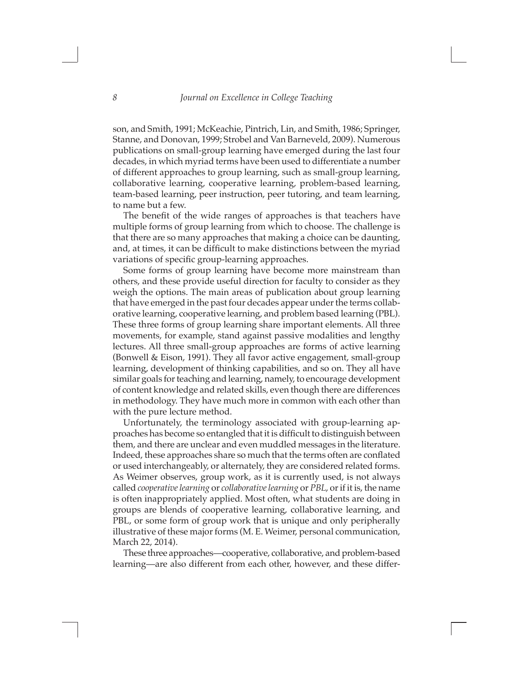$\Box$ 

son, and Smith, 1991; McKeachie, Pintrich, Lin, and Smith, 1986; Springer, Stanne, and Donovan, 1999; Strobel and Van Barneveld, 2009). Numerous publications on small-group learning have emerged during the last four decades, in which myriad terms have been used to differentiate a number of different approaches to group learning, such as small-group learning, collaborative learning, cooperative learning, problem-based learning, team-based learning, peer instruction, peer tutoring, and team learning, to name but a few.

The benefit of the wide ranges of approaches is that teachers have multiple forms of group learning from which to choose. The challenge is that there are so many approaches that making a choice can be daunting, and, at times, it can be difficult to make distinctions between the myriad variations of specific group-learning approaches.

Some forms of group learning have become more mainstream than others, and these provide useful direction for faculty to consider as they weigh the options. The main areas of publication about group learning that have emerged in the past four decades appear under the terms collaborative learning, cooperative learning, and problem based learning (PBL). These three forms of group learning share important elements. All three movements, for example, stand against passive modalities and lengthy lectures. All three small-group approaches are forms of active learning (Bonwell & Eison, 1991). They all favor active engagement, small-group learning, development of thinking capabilities, and so on. They all have similar goals for teaching and learning, namely, to encourage development of content knowledge and related skills, even though there are differences in methodology. They have much more in common with each other than with the pure lecture method.

Unfortunately, the terminology associated with group-learning approaches has become so entangled that it is difficult to distinguish between them, and there are unclear and even muddled messages in the literature. Indeed, these approaches share so much that the terms often are conflated or used interchangeably, or alternately, they are considered related forms. As Weimer observes, group work, as it is currently used, is not always called *cooperative learning* or *collaborative learning* or *PBL*, or if it is, the name is often inappropriately applied. Most often, what students are doing in groups are blends of cooperative learning, collaborative learning, and PBL, or some form of group work that is unique and only peripherally illustrative of these major forms (M. E. Weimer, personal communication, March 22, 2014).

These three approaches—cooperative, collaborative, and problem-based learning—are also different from each other, however, and these differ-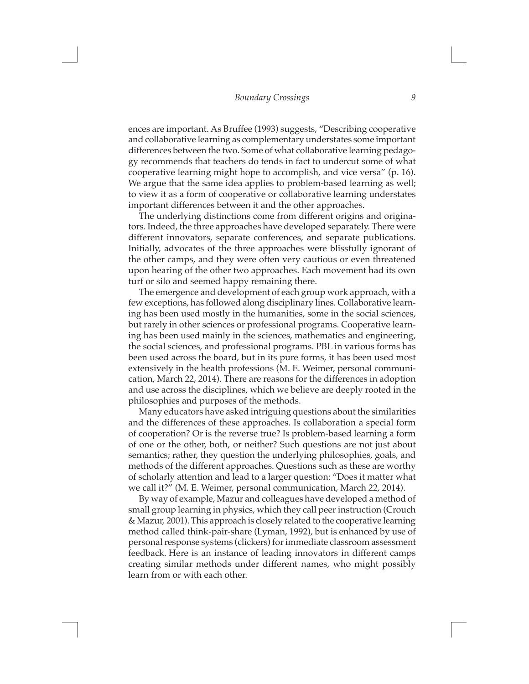$\Box$ 

ences are important. As Bruffee (1993) suggests, "Describing cooperative and collaborative learning as complementary understates some important differences between the two. Some of what collaborative learning pedagogy recommends that teachers do tends in fact to undercut some of what cooperative learning might hope to accomplish, and vice versa" (p. 16). We argue that the same idea applies to problem-based learning as well; to view it as a form of cooperative or collaborative learning understates important differences between it and the other approaches.

The underlying distinctions come from different origins and originators. Indeed, the three approaches have developed separately. There were different innovators, separate conferences, and separate publications. Initially, advocates of the three approaches were blissfully ignorant of the other camps, and they were often very cautious or even threatened upon hearing of the other two approaches. Each movement had its own turf or silo and seemed happy remaining there.

The emergence and development of each group work approach, with a few exceptions, has followed along disciplinary lines. Collaborative learning has been used mostly in the humanities, some in the social sciences, but rarely in other sciences or professional programs. Cooperative learning has been used mainly in the sciences, mathematics and engineering, the social sciences, and professional programs. PBL in various forms has been used across the board, but in its pure forms, it has been used most extensively in the health professions (M. E. Weimer, personal communication, March 22, 2014). There are reasons for the differences in adoption and use across the disciplines, which we believe are deeply rooted in the philosophies and purposes of the methods.

Many educators have asked intriguing questions about the similarities and the differences of these approaches. Is collaboration a special form of cooperation? Or is the reverse true? Is problem-based learning a form of one or the other, both, or neither? Such questions are not just about semantics; rather, they question the underlying philosophies, goals, and methods of the different approaches. Questions such as these are worthy of scholarly attention and lead to a larger question: "Does it matter what we call it?" (M. E. Weimer, personal communication, March 22, 2014).

By way of example, Mazur and colleagues have developed a method of small group learning in physics, which they call peer instruction (Crouch & Mazur, 2001). This approach is closely related to the cooperative learning method called think-pair-share (Lyman, 1992), but is enhanced by use of personal response systems (clickers) for immediate classroom assessment feedback. Here is an instance of leading innovators in different camps creating similar methods under different names, who might possibly learn from or with each other.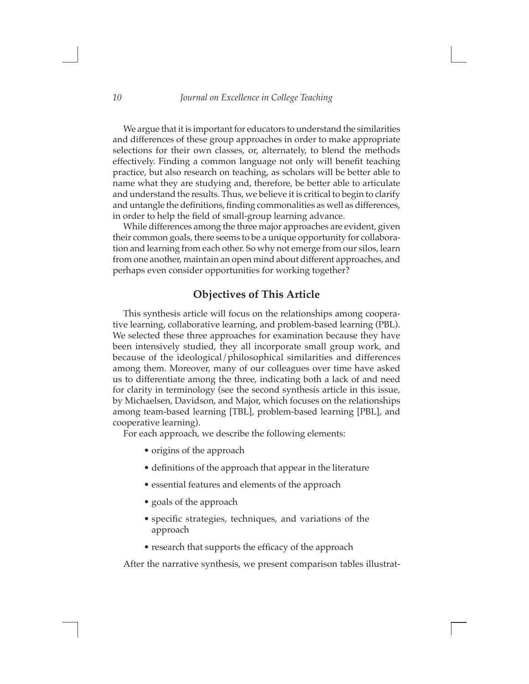$\Box$ 

We argue that it is important for educators to understand the similarities and differences of these group approaches in order to make appropriate selections for their own classes, or, alternately, to blend the methods effectively. Finding a common language not only will benefit teaching practice, but also research on teaching, as scholars will be better able to name what they are studying and, therefore, be better able to articulate and understand the results. Thus, we believe it is critical to begin to clarify and untangle the definitions, finding commonalities as well as differences, in order to help the field of small-group learning advance.

While differences among the three major approaches are evident, given their common goals, there seems to be a unique opportunity for collaboration and learning from each other. So why not emerge from our silos, learn from one another, maintain an open mind about different approaches, and perhaps even consider opportunities for working together?

## **Objectives of This Article**

This synthesis article will focus on the relationships among cooperative learning, collaborative learning, and problem-based learning (PBL). We selected these three approaches for examination because they have been intensively studied, they all incorporate small group work, and because of the ideological/philosophical similarities and differences among them. Moreover, many of our colleagues over time have asked us to differentiate among the three, indicating both a lack of and need for clarity in terminology (see the second synthesis article in this issue, by Michaelsen, Davidson, and Major, which focuses on the relationships among team-based learning [TBL], problem-based learning [PBL], and cooperative learning).

For each approach, we describe the following elements:

- origins of the approach
- definitions of the approach that appear in the literature
- essential features and elements of the approach
- goals of the approach

 $\Box$ 

- specific strategies, techniques, and variations of the approach
- research that supports the efficacy of the approach

After the narrative synthesis, we present comparison tables illustrat-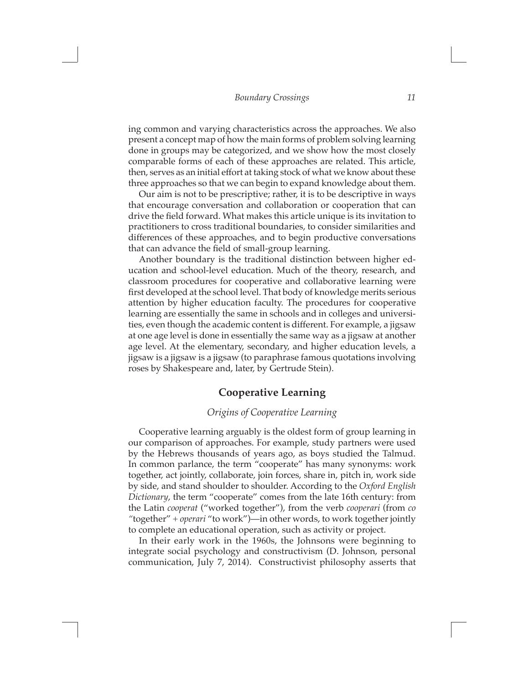$\Box$ 

ing common and varying characteristics across the approaches. We also present a concept map of how the main forms of problem solving learning done in groups may be categorized, and we show how the most closely comparable forms of each of these approaches are related. This article, then, serves as an initial effort at taking stock of what we know about these three approaches so that we can begin to expand knowledge about them.

Our aim is not to be prescriptive; rather, it is to be descriptive in ways that encourage conversation and collaboration or cooperation that can drive the field forward. What makes this article unique is its invitation to practitioners to cross traditional boundaries, to consider similarities and differences of these approaches, and to begin productive conversations that can advance the field of small-group learning.

Another boundary is the traditional distinction between higher education and school-level education. Much of the theory, research, and classroom procedures for cooperative and collaborative learning were first developed at the school level. That body of knowledge merits serious attention by higher education faculty. The procedures for cooperative learning are essentially the same in schools and in colleges and universities, even though the academic content is different. For example, a jigsaw at one age level is done in essentially the same way as a jigsaw at another age level. At the elementary, secondary, and higher education levels, a jigsaw is a jigsaw is a jigsaw (to paraphrase famous quotations involving roses by Shakespeare and, later, by Gertrude Stein).

### **Cooperative Learning**

#### *Origins of Cooperative Learning*

Cooperative learning arguably is the oldest form of group learning in our comparison of approaches. For example, study partners were used by the Hebrews thousands of years ago, as boys studied the Talmud. In common parlance, the term "cooperate" has many synonyms: work together, act jointly, collaborate, join forces, share in, pitch in, work side by side, and stand shoulder to shoulder. According to the *Oxford English Dictionary*, the term "cooperate" comes from the late 16th century: from the Latin *cooperat* ("worked together"), from the verb *cooperari* (from *co "*together" + *operari* "to work")—in other words, to work together jointly to complete an educational operation, such as activity or project.

In their early work in the 1960s, the Johnsons were beginning to integrate social psychology and constructivism (D. Johnson, personal communication, July 7, 2014). Constructivist philosophy asserts that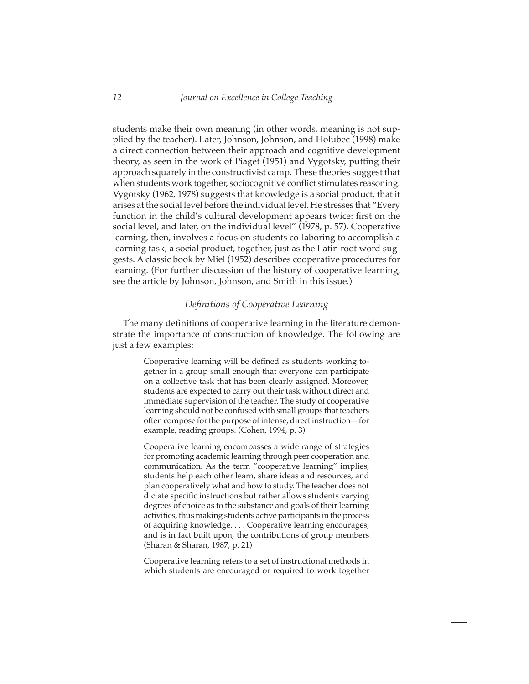$\Box$ 

students make their own meaning (in other words, meaning is not supplied by the teacher). Later, Johnson, Johnson, and Holubec (1998) make a direct connection between their approach and cognitive development theory, as seen in the work of Piaget (1951) and Vygotsky, putting their approach squarely in the constructivist camp. These theories suggest that when students work together, sociocognitive conflict stimulates reasoning. Vygotsky (1962, 1978) suggests that knowledge is a social product, that it arises at the social level before the individual level. He stresses that "Every function in the child's cultural development appears twice: first on the social level, and later, on the individual level" (1978, p. 57). Cooperative learning, then, involves a focus on students co-laboring to accomplish a learning task, a social product, together, just as the Latin root word suggests. A classic book by Miel (1952) describes cooperative procedures for learning. (For further discussion of the history of cooperative learning, see the article by Johnson, Johnson, and Smith in this issue.)

#### *Definitions of Cooperative Learning*

The many definitions of cooperative learning in the literature demonstrate the importance of construction of knowledge. The following are just a few examples:

> Cooperative learning will be defined as students working together in a group small enough that everyone can participate on a collective task that has been clearly assigned. Moreover, students are expected to carry out their task without direct and immediate supervision of the teacher. The study of cooperative learning should not be confused with small groups that teachers often compose for the purpose of intense, direct instruction—for example, reading groups. (Cohen, 1994, p. 3)

> Cooperative learning encompasses a wide range of strategies for promoting academic learning through peer cooperation and communication. As the term "cooperative learning" implies, students help each other learn, share ideas and resources, and plan cooperatively what and how to study. The teacher does not dictate specific instructions but rather allows students varying degrees of choice as to the substance and goals of their learning activities, thus making students active participants in the process of acquiring knowledge. . . . Cooperative learning encourages, and is in fact built upon, the contributions of group members (Sharan & Sharan, 1987, p. 21)

> Cooperative learning refers to a set of instructional methods in which students are encouraged or required to work together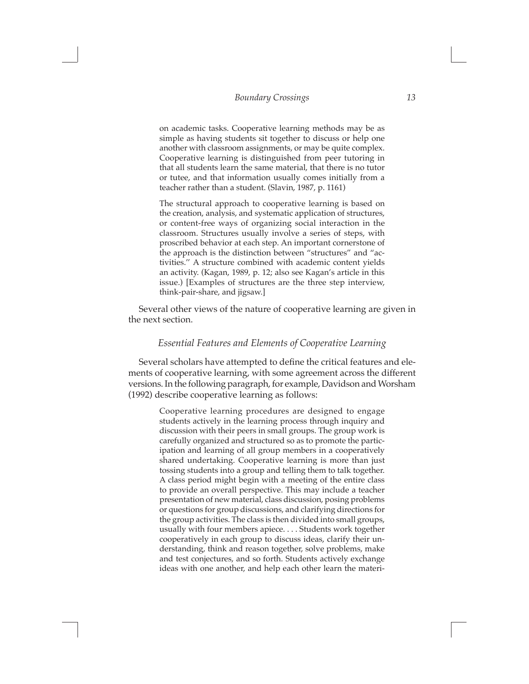$\Box$ 

on academic tasks. Cooperative learning methods may be as simple as having students sit together to discuss or help one another with classroom assignments, or may be quite complex. Cooperative learning is distinguished from peer tutoring in that all students learn the same material, that there is no tutor or tutee, and that information usually comes initially from a teacher rather than a student. (Slavin, 1987, p. 1161)

The structural approach to cooperative learning is based on the creation, analysis, and systematic application of structures, or content-free ways of organizing social interaction in the classroom. Structures usually involve a series of steps, with proscribed behavior at each step. An important cornerstone of the approach is the distinction between "structures" and "activities.'' A structure combined with academic content yields an activity. (Kagan, 1989, p. 12; also see Kagan's article in this issue.) [Examples of structures are the three step interview, think-pair-share, and jigsaw.]

Several other views of the nature of cooperative learning are given in the next section.

#### *Essential Features and Elements of Cooperative Learning*

Several scholars have attempted to define the critical features and elements of cooperative learning, with some agreement across the different versions. In the following paragraph, for example, Davidson and Worsham (1992) describe cooperative learning as follows:

> Cooperative learning procedures are designed to engage students actively in the learning process through inquiry and discussion with their peers in small groups. The group work is carefully organized and structured so as to promote the participation and learning of all group members in a cooperatively shared undertaking. Cooperative learning is more than just tossing students into a group and telling them to talk together. A class period might begin with a meeting of the entire class to provide an overall perspective. This may include a teacher presentation of new material, class discussion, posing problems or questions for group discussions, and clarifying directions for the group activities. The class is then divided into small groups, usually with four members apiece. . . . Students work together cooperatively in each group to discuss ideas, clarify their understanding, think and reason together, solve problems, make and test conjectures, and so forth. Students actively exchange ideas with one another, and help each other learn the materi-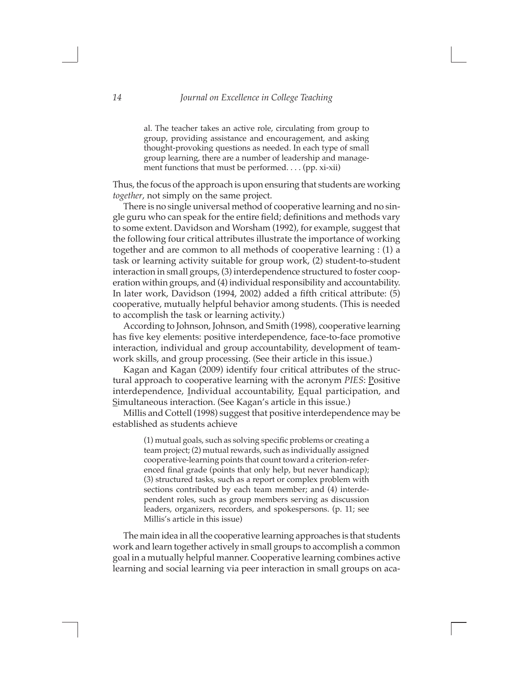$\Box$ 

al. The teacher takes an active role, circulating from group to group, providing assistance and encouragement, and asking thought-provoking questions as needed. In each type of small group learning, there are a number of leadership and management functions that must be performed. . . . (pp. xi-xii)

Thus, the focus of the approach is upon ensuring that students are working *together*, not simply on the same project.

There is no single universal method of cooperative learning and no single guru who can speak for the entire field; definitions and methods vary to some extent. Davidson and Worsham (1992), for example, suggest that the following four critical attributes illustrate the importance of working together and are common to all methods of cooperative learning : (1) a task or learning activity suitable for group work, (2) student-to-student interaction in small groups, (3) interdependence structured to foster cooperation within groups, and (4) individual responsibility and accountability. In later work, Davidson (1994, 2002) added a fifth critical attribute: (5) cooperative, mutually helpful behavior among students. (This is needed to accomplish the task or learning activity.)

According to Johnson, Johnson, and Smith (1998), cooperative learning has five key elements: positive interdependence, face-to-face promotive interaction, individual and group accountability, development of teamwork skills, and group processing. (See their article in this issue.)

Kagan and Kagan (2009) identify four critical attributes of the structural approach to cooperative learning with the acronym *PIES*: Positive interdependence, Individual accountability, Equal participation, and Simultaneous interaction. (See Kagan's article in this issue.)

Millis and Cottell (1998) suggest that positive interdependence may be established as students achieve

> (1) mutual goals, such as solving specific problems or creating a team project; (2) mutual rewards, such as individually assigned cooperative-learning points that count toward a criterion-referenced final grade (points that only help, but never handicap); (3) structured tasks, such as a report or complex problem with sections contributed by each team member; and (4) interdependent roles, such as group members serving as discussion leaders, organizers, recorders, and spokespersons. (p. 11; see Millis's article in this issue)

The main idea in all the cooperative learning approaches is that students work and learn together actively in small groups to accomplish a common goal in a mutually helpful manner. Cooperative learning combines active learning and social learning via peer interaction in small groups on aca-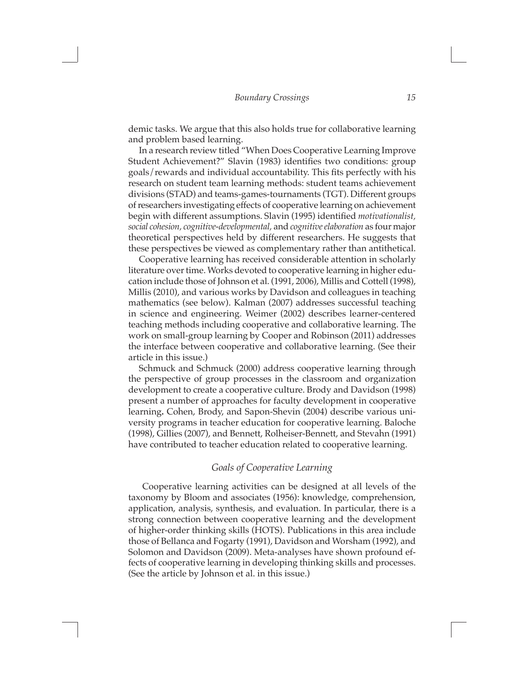$\Box$ 

demic tasks. We argue that this also holds true for collaborative learning and problem based learning.

In a research review titled "When Does Cooperative Learning Improve Student Achievement?" Slavin (1983) identifies two conditions: group goals/rewards and individual accountability. This fits perfectly with his research on student team learning methods: student teams achievement divisions (STAD) and teams-games-tournaments (TGT). Different groups of researchers investigating effects of cooperative learning on achievement begin with different assumptions. Slavin (1995) identified *motivationalist, social cohesion, cognitive-developmental,* and *cognitive elaboration* as four major theoretical perspectives held by different researchers. He suggests that these perspectives be viewed as complementary rather than antithetical.

Cooperative learning has received considerable attention in scholarly literature over time. Works devoted to cooperative learning in higher education include those of Johnson et al. (1991, 2006), Millis and Cottell (1998), Millis (2010), and various works by Davidson and colleagues in teaching mathematics (see below). Kalman (2007) addresses successful teaching in science and engineering. Weimer (2002) describes learner-centered teaching methods including cooperative and collaborative learning. The work on small-group learning by Cooper and Robinson (2011) addresses the interface between cooperative and collaborative learning. (See their article in this issue.)

Schmuck and Schmuck (2000) address cooperative learning through the perspective of group processes in the classroom and organization development to create a cooperative culture. Brody and Davidson (1998) present a number of approaches for faculty development in cooperative learning**.** Cohen, Brody, and Sapon-Shevin (2004) describe various university programs in teacher education for cooperative learning. Baloche (1998), Gillies (2007), and Bennett, Rolheiser-Bennett, and Stevahn (1991) have contributed to teacher education related to cooperative learning.

#### *Goals of Cooperative Learning*

 Cooperative learning activities can be designed at all levels of the taxonomy by Bloom and associates (1956): knowledge, comprehension, application, analysis, synthesis, and evaluation. In particular, there is a strong connection between cooperative learning and the development of higher-order thinking skills (HOTS). Publications in this area include those of Bellanca and Fogarty (1991), Davidson and Worsham (1992), and Solomon and Davidson (2009). Meta-analyses have shown profound effects of cooperative learning in developing thinking skills and processes. (See the article by Johnson et al. in this issue.)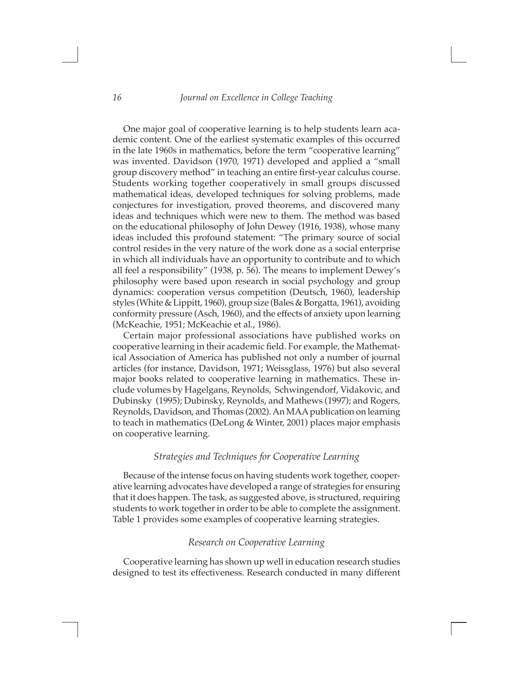$\Box$ 

One major goal of cooperative learning is to help students learn academic content. One of the earliest systematic examples of this occurred in the late 1960s in mathematics, before the term "cooperative learning" was invented. Davidson (1970, 1971) developed and applied a "small group discovery method" in teaching an entire first-year calculus course. Students working together cooperatively in small groups discussed mathematical ideas, developed techniques for solving problems, made conjectures for investigation, proved theorems, and discovered many ideas and techniques which were new to them. The method was based on the educational philosophy of John Dewey (1916, 1938), whose many ideas included this profound statement: "The primary source of social control resides in the very nature of the work done as a social enterprise in which all individuals have an opportunity to contribute and to which all feel a responsibility" (1938, p. 56). The means to implement Dewey's philosophy were based upon research in social psychology and group dynamics: cooperation versus competition (Deutsch, 1960), leadership styles (White & Lippitt, 1960), group size (Bales & Borgatta, 1961), avoiding conformity pressure (Asch, 1960), and the effects of anxiety upon learning (McKeachie, 1951; McKeachie et al., 1986).

Certain major professional associations have published works on cooperative learning in their academic field. For example, the Mathematical Association of America has published not only a number of journal articles (for instance, Davidson, 1971; Weissglass, 1976) but also several major books related to cooperative learning in mathematics. These include volumes by Hagelgans, Reynolds, Schwingendorf, Vidakovic, and Dubinsky (1995); Dubinsky, Reynolds, and Mathews (1997); and Rogers, Reynolds, Davidson, and Thomas (2002). An MAA publication on learning to teach in mathematics (DeLong & Winter, 2001) places major emphasis on cooperative learning.

#### *Strategies and Techniques for Cooperative Learning*

Because of the intense focus on having students work together, cooperative learning advocates have developed a range of strategies for ensuring that it does happen. The task, as suggested above, is structured, requiring students to work together in order to be able to complete the assignment. Table 1 provides some examples of cooperative learning strategies.

#### *Research on Cooperative Learning*

Cooperative learning has shown up well in education research studies designed to test its effectiveness. Research conducted in many different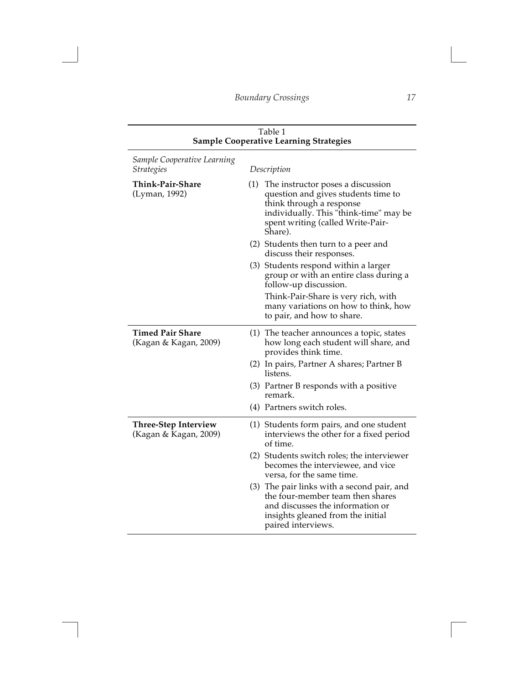$\Box$ 

| Table 1<br><b>Sample Cooperative Learning Strategies</b> |     |                                                                                                                                                                                                |
|----------------------------------------------------------|-----|------------------------------------------------------------------------------------------------------------------------------------------------------------------------------------------------|
| Sample Cooperative Learning<br><i><b>Strategies</b></i>  |     | Description                                                                                                                                                                                    |
| Think-Pair-Share<br>(Lyman, 1992)                        | (1) | The instructor poses a discussion<br>question and gives students time to<br>think through a response<br>individually. This "think-time" may be<br>spent writing (called Write-Pair-<br>Share). |
|                                                          |     | (2) Students then turn to a peer and<br>discuss their responses.                                                                                                                               |
|                                                          |     | (3) Students respond within a larger<br>group or with an entire class during a<br>follow-up discussion.                                                                                        |
|                                                          |     | Think-Pair-Share is very rich, with<br>many variations on how to think, how<br>to pair, and how to share.                                                                                      |
| <b>Timed Pair Share</b><br>(Kagan & Kagan, 2009)         |     | (1) The teacher announces a topic, states<br>how long each student will share, and<br>provides think time.                                                                                     |
|                                                          |     | (2) In pairs, Partner A shares; Partner B<br>listens.                                                                                                                                          |
|                                                          |     | (3) Partner B responds with a positive<br>remark.                                                                                                                                              |
|                                                          |     | (4) Partners switch roles.                                                                                                                                                                     |
| <b>Three-Step Interview</b><br>(Kagan & Kagan, 2009)     |     | (1) Students form pairs, and one student<br>interviews the other for a fixed period<br>of time.                                                                                                |
|                                                          |     | (2) Students switch roles; the interviewer<br>becomes the interviewee, and vice<br>versa, for the same time.                                                                                   |
|                                                          |     | (3) The pair links with a second pair, and<br>the four-member team then shares<br>and discusses the information or<br>insights gleaned from the initial<br>paired interviews.                  |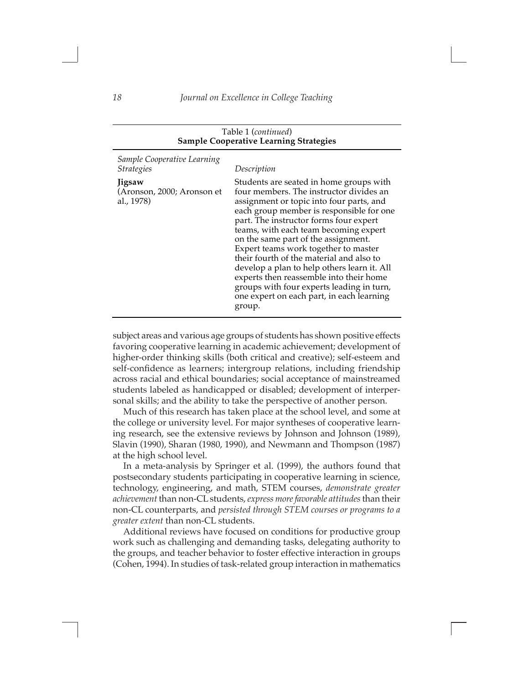| Table 1 (continued)<br><b>Sample Cooperative Learning Strategies</b>                                          |                                                                                                                                                                                                                                                                                                                                                                                                                                                                                                                                                                                                       |  |
|---------------------------------------------------------------------------------------------------------------|-------------------------------------------------------------------------------------------------------------------------------------------------------------------------------------------------------------------------------------------------------------------------------------------------------------------------------------------------------------------------------------------------------------------------------------------------------------------------------------------------------------------------------------------------------------------------------------------------------|--|
| Sample Cooperative Learning<br><b>Strategies</b><br><b>Jigsaw</b><br>(Aronson, 2000; Aronson et<br>al., 1978) | Description<br>Students are seated in home groups with<br>four members. The instructor divides an<br>assignment or topic into four parts, and<br>each group member is responsible for one<br>part. The instructor forms four expert<br>teams, with each team becoming expert<br>on the same part of the assignment.<br>Expert teams work together to master<br>their fourth of the material and also to<br>develop a plan to help others learn it. All<br>experts then reassemble into their home<br>groups with four experts leading in turn,<br>one expert on each part, in each learning<br>group. |  |
|                                                                                                               |                                                                                                                                                                                                                                                                                                                                                                                                                                                                                                                                                                                                       |  |

subject areas and various age groups of students has shown positive effects favoring cooperative learning in academic achievement; development of higher-order thinking skills (both critical and creative); self-esteem and self-confidence as learners; intergroup relations, including friendship across racial and ethical boundaries; social acceptance of mainstreamed students labeled as handicapped or disabled; development of interpersonal skills; and the ability to take the perspective of another person.

Much of this research has taken place at the school level, and some at the college or university level. For major syntheses of cooperative learning research, see the extensive reviews by Johnson and Johnson (1989), Slavin (1990), Sharan (1980, 1990), and Newmann and Thompson (1987) at the high school level.

In a meta-analysis by Springer et al. (1999), the authors found that postsecondary students participating in cooperative learning in science, technology, engineering, and math, STEM courses, *demonstrate greater achievement* than non-CL students, *express more favorable attitudes* than their non-CL counterparts, and *persisted through STEM courses or programs to a greater extent* than non-CL students.

Additional reviews have focused on conditions for productive group work such as challenging and demanding tasks, delegating authority to the groups, and teacher behavior to foster effective interaction in groups (Cohen, 1994). In studies of task-related group interaction in mathematics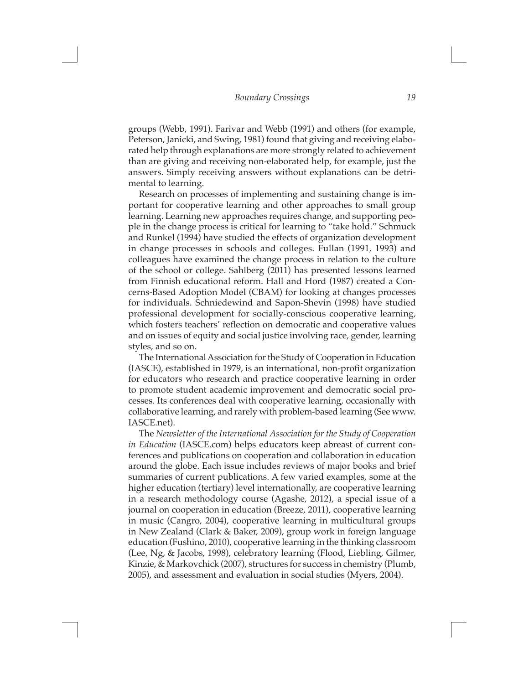$\Box$ 

groups (Webb, 1991). Farivar and Webb (1991) and others (for example, Peterson, Janicki, and Swing, 1981) found that giving and receiving elaborated help through explanations are more strongly related to achievement than are giving and receiving non-elaborated help, for example, just the answers. Simply receiving answers without explanations can be detrimental to learning.

Research on processes of implementing and sustaining change is important for cooperative learning and other approaches to small group learning. Learning new approaches requires change, and supporting people in the change process is critical for learning to "take hold." Schmuck and Runkel (1994) have studied the effects of organization development in change processes in schools and colleges. Fullan (1991, 1993) and colleagues have examined the change process in relation to the culture of the school or college. Sahlberg (2011) has presented lessons learned from Finnish educational reform. Hall and Hord (1987) created a Concerns-Based Adoption Model (CBAM) for looking at changes processes for individuals. Schniedewind and Sapon-Shevin (1998) have studied professional development for socially-conscious cooperative learning, which fosters teachers' reflection on democratic and cooperative values and on issues of equity and social justice involving race, gender, learning styles, and so on.

The International Association for the Study of Cooperation in Education (IASCE), established in 1979, is an international, non-profit organization for educators who research and practice cooperative learning in order to promote student academic improvement and democratic social processes. Its conferences deal with cooperative learning, occasionally with collaborative learning, and rarely with problem-based learning (See www. IASCE.net).

The *Newsletter of the International Association for the Study of Cooperation in Education* (IASCE.com) helps educators keep abreast of current conferences and publications on cooperation and collaboration in education around the globe. Each issue includes reviews of major books and brief summaries of current publications. A few varied examples, some at the higher education (tertiary) level internationally, are cooperative learning in a research methodology course (Agashe, 2012), a special issue of a journal on cooperation in education (Breeze, 2011), cooperative learning in music (Cangro, 2004), cooperative learning in multicultural groups in New Zealand (Clark & Baker, 2009), group work in foreign language education (Fushino, 2010), cooperative learning in the thinking classroom (Lee, Ng, & Jacobs, 1998), celebratory learning (Flood, Liebling, Gilmer, Kinzie, & Markovchick (2007), structures for success in chemistry (Plumb, 2005), and assessment and evaluation in social studies (Myers, 2004).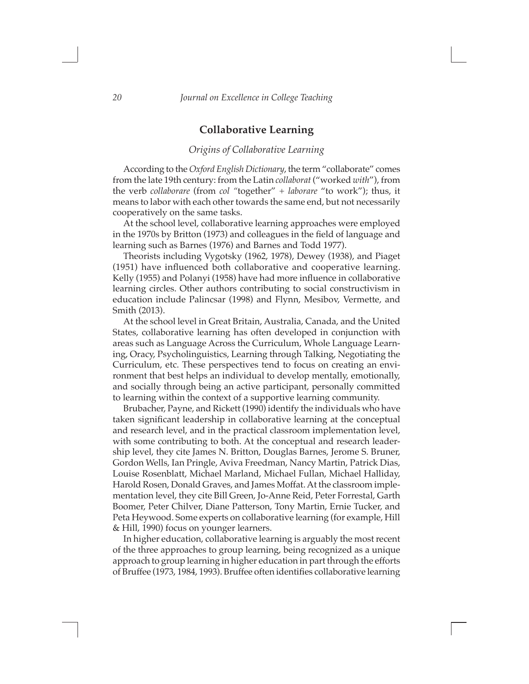## **Collaborative Learning**

#### *Origins of Collaborative Learning*

According to the *Oxford English Dictionary*, the term "collaborate" comes from the late 19th century: from the Latin *collaborat* ("worked *with*"), from the verb *collaborare* (from *col "*together" + *laborare* "to work"); thus, it means to labor with each other towards the same end, but not necessarily cooperatively on the same tasks.

At the school level, collaborative learning approaches were employed in the 1970s by Britton (1973) and colleagues in the field of language and learning such as Barnes (1976) and Barnes and Todd 1977).

Theorists including Vygotsky (1962, 1978), Dewey (1938), and Piaget (1951) have influenced both collaborative and cooperative learning. Kelly (1955) and Polanyi (1958) have had more influence in collaborative learning circles. Other authors contributing to social constructivism in education include Palincsar (1998) and Flynn, Mesibov, Vermette, and Smith (2013).

At the school level in Great Britain, Australia, Canada, and the United States, collaborative learning has often developed in conjunction with areas such as Language Across the Curriculum, Whole Language Learning, Oracy, Psycholinguistics, Learning through Talking, Negotiating the Curriculum, etc. These perspectives tend to focus on creating an environment that best helps an individual to develop mentally, emotionally, and socially through being an active participant, personally committed to learning within the context of a supportive learning community.

Brubacher, Payne, and Rickett (1990) identify the individuals who have taken significant leadership in collaborative learning at the conceptual and research level, and in the practical classroom implementation level, with some contributing to both. At the conceptual and research leadership level, they cite James N. Britton, Douglas Barnes, Jerome S. Bruner, Gordon Wells, Ian Pringle, Aviva Freedman, Nancy Martin, Patrick Dias, Louise Rosenblatt, Michael Marland, Michael Fullan, Michael Halliday, Harold Rosen, Donald Graves, and James Moffat. At the classroom implementation level, they cite Bill Green, Jo-Anne Reid, Peter Forrestal, Garth Boomer, Peter Chilver, Diane Patterson, Tony Martin, Ernie Tucker, and Peta Heywood. Some experts on collaborative learning (for example, Hill & Hill, 1990) focus on younger learners.

In higher education, collaborative learning is arguably the most recent of the three approaches to group learning, being recognized as a unique approach to group learning in higher education in part through the efforts of Bruffee (1973, 1984, 1993). Bruffee often identifies collaborative learning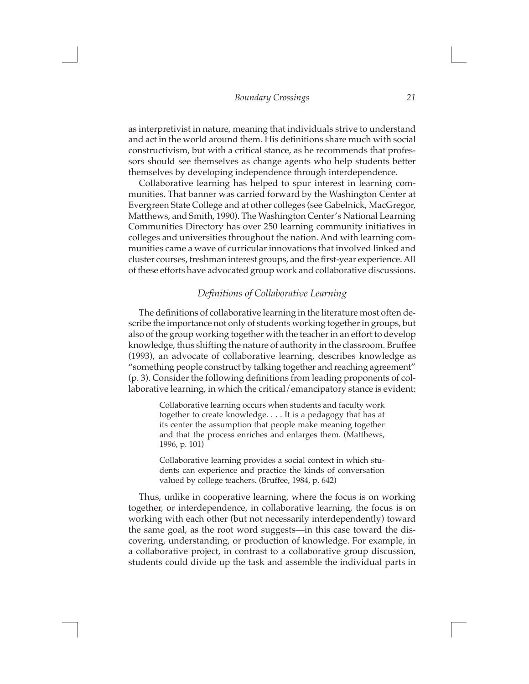$\Box$ 

as interpretivist in nature, meaning that individuals strive to understand and act in the world around them. His definitions share much with social constructivism, but with a critical stance, as he recommends that professors should see themselves as change agents who help students better themselves by developing independence through interdependence.

Collaborative learning has helped to spur interest in learning communities. That banner was carried forward by the Washington Center at Evergreen State College and at other colleges (see Gabelnick, MacGregor, Matthews, and Smith, 1990). The Washington Center's National Learning Communities Directory has over 250 learning community initiatives in colleges and universities throughout the nation. And with learning communities came a wave of curricular innovations that involved linked and cluster courses, freshman interest groups, and the first-year experience. All of these efforts have advocated group work and collaborative discussions.

#### *Definitions of Collaborative Learning*

The definitions of collaborative learning in the literature most often describe the importance not only of students working together in groups, but also of the group working together with the teacher in an effort to develop knowledge, thus shifting the nature of authority in the classroom. Bruffee (1993), an advocate of collaborative learning, describes knowledge as "something people construct by talking together and reaching agreement" (p. 3). Consider the following definitions from leading proponents of collaborative learning, in which the critical/emancipatory stance is evident:

> Collaborative learning occurs when students and faculty work together to create knowledge. . . . It is a pedagogy that has at its center the assumption that people make meaning together and that the process enriches and enlarges them. (Matthews, 1996, p. 101)

> Collaborative learning provides a social context in which students can experience and practice the kinds of conversation valued by college teachers. (Bruffee, 1984, p. 642)

Thus, unlike in cooperative learning, where the focus is on working together, or interdependence, in collaborative learning, the focus is on working with each other (but not necessarily interdependently) toward the same goal, as the root word suggests—in this case toward the discovering, understanding, or production of knowledge. For example, in a collaborative project, in contrast to a collaborative group discussion, students could divide up the task and assemble the individual parts in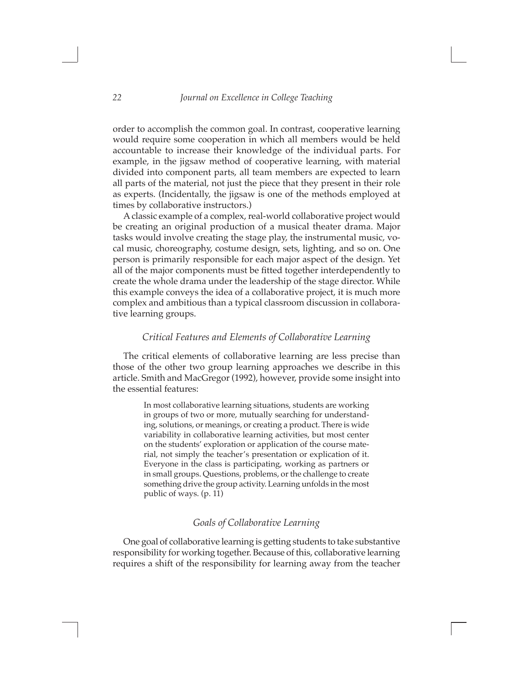$\Box$ 

order to accomplish the common goal. In contrast, cooperative learning would require some cooperation in which all members would be held accountable to increase their knowledge of the individual parts. For example, in the jigsaw method of cooperative learning, with material divided into component parts, all team members are expected to learn all parts of the material, not just the piece that they present in their role as experts. (Incidentally, the jigsaw is one of the methods employed at times by collaborative instructors.)

A classic example of a complex, real-world collaborative project would be creating an original production of a musical theater drama. Major tasks would involve creating the stage play, the instrumental music, vocal music, choreography, costume design, sets, lighting, and so on. One person is primarily responsible for each major aspect of the design. Yet all of the major components must be fitted together interdependently to create the whole drama under the leadership of the stage director. While this example conveys the idea of a collaborative project, it is much more complex and ambitious than a typical classroom discussion in collaborative learning groups.

#### *Critical Features and Elements of Collaborative Learning*

The critical elements of collaborative learning are less precise than those of the other two group learning approaches we describe in this article. Smith and MacGregor (1992), however, provide some insight into the essential features:

> In most collaborative learning situations, students are working in groups of two or more, mutually searching for understanding, solutions, or meanings, or creating a product. There is wide variability in collaborative learning activities, but most center on the students' exploration or application of the course material, not simply the teacher's presentation or explication of it. Everyone in the class is participating, working as partners or in small groups. Questions, problems, or the challenge to create something drive the group activity. Learning unfolds in the most public of ways. (p. 11)

### *Goals of Collaborative Learning*

One goal of collaborative learning is getting students to take substantive responsibility for working together. Because of this, collaborative learning requires a shift of the responsibility for learning away from the teacher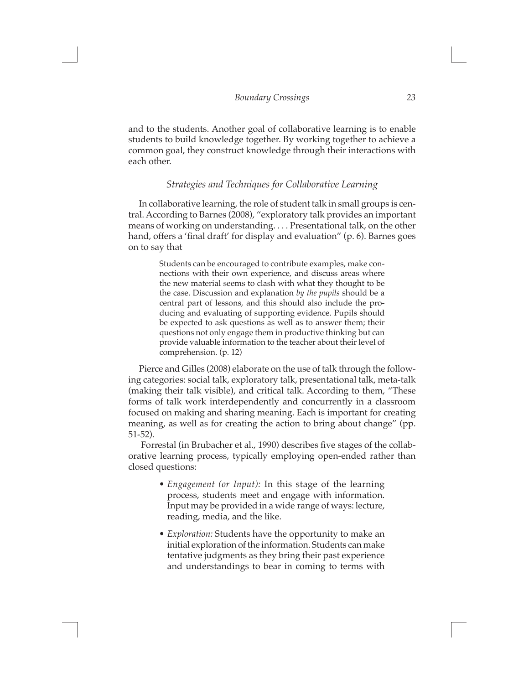$\Box$ 

and to the students. Another goal of collaborative learning is to enable students to build knowledge together. By working together to achieve a common goal, they construct knowledge through their interactions with each other.

#### *Strategies and Techniques for Collaborative Learning*

In collaborative learning, the role of student talk in small groups is central. According to Barnes (2008), "exploratory talk provides an important means of working on understanding. . . . Presentational talk, on the other hand, offers a 'final draft' for display and evaluation" (p. 6). Barnes goes on to say that

> Students can be encouraged to contribute examples, make connections with their own experience, and discuss areas where the new material seems to clash with what they thought to be the case. Discussion and explanation *by the pupils* should be a central part of lessons, and this should also include the producing and evaluating of supporting evidence. Pupils should be expected to ask questions as well as to answer them; their questions not only engage them in productive thinking but can provide valuable information to the teacher about their level of comprehension. (p. 12)

Pierce and Gilles (2008) elaborate on the use of talk through the following categories: social talk, exploratory talk, presentational talk, meta-talk (making their talk visible), and critical talk. According to them, "These forms of talk work interdependently and concurrently in a classroom focused on making and sharing meaning. Each is important for creating meaning, as well as for creating the action to bring about change" (pp. 51-52).

 Forrestal (in Brubacher et al., 1990) describes five stages of the collaborative learning process, typically employing open-ended rather than closed questions:

- *• Engagement (or Input):* In this stage of the learning process, students meet and engage with information. Input may be provided in a wide range of ways: lecture, reading, media, and the like.
- *• Exploration:* Students have the opportunity to make an initial exploration of the information. Students can make tentative judgments as they bring their past experience and understandings to bear in coming to terms with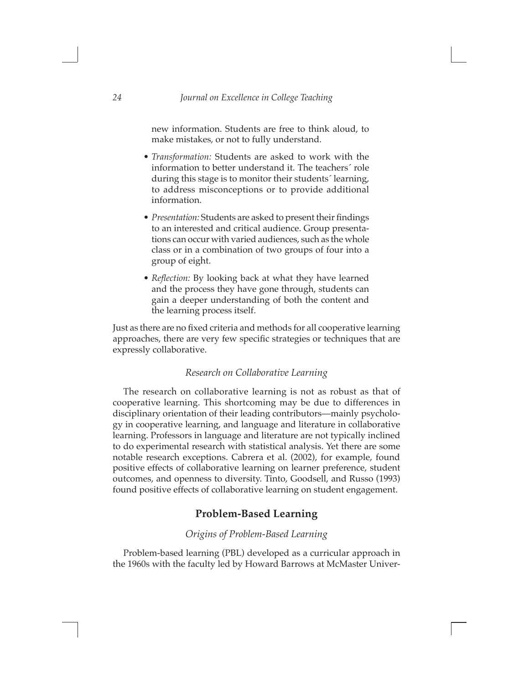$\Box$ 

new information. Students are free to think aloud, to make mistakes, or not to fully understand.

- *• Transformation:* Students are asked to work with the information to better understand it. The teachers´ role during this stage is to monitor their students´ learning, to address misconceptions or to provide additional information.
- *• Presentation:* Students are asked to present their findings to an interested and critical audience. Group presentations can occur with varied audiences, such as the whole class or in a combination of two groups of four into a group of eight.
- *• Reflection:* By looking back at what they have learned and the process they have gone through, students can gain a deeper understanding of both the content and the learning process itself.

Just as there are no fixed criteria and methods for all cooperative learning approaches, there are very few specific strategies or techniques that are expressly collaborative.

#### *Research on Collaborative Learning*

The research on collaborative learning is not as robust as that of cooperative learning. This shortcoming may be due to differences in disciplinary orientation of their leading contributors—mainly psychology in cooperative learning, and language and literature in collaborative learning. Professors in language and literature are not typically inclined to do experimental research with statistical analysis. Yet there are some notable research exceptions. Cabrera et al. (2002), for example, found positive effects of collaborative learning on learner preference, student outcomes, and openness to diversity. Tinto, Goodsell, and Russo (1993) found positive effects of collaborative learning on student engagement.

### **Problem-Based Learning**

#### *Origins of Problem-Based Learning*

Problem-based learning (PBL) developed as a curricular approach in the 1960s with the faculty led by Howard Barrows at McMaster Univer-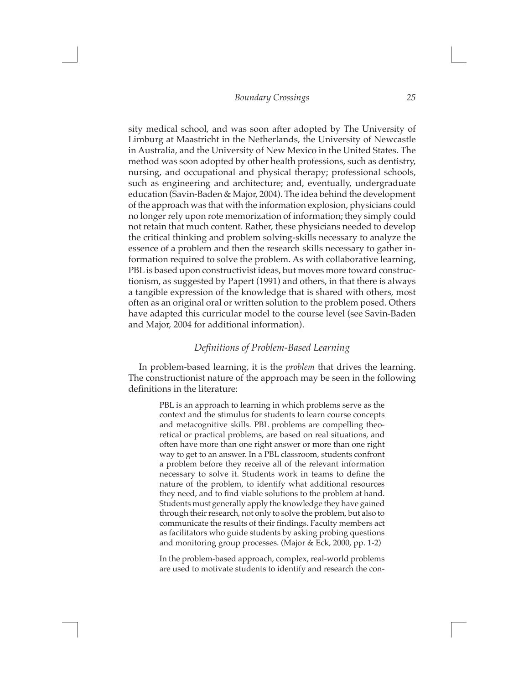$\Box$ 

sity medical school, and was soon after adopted by The University of Limburg at Maastricht in the Netherlands, the University of Newcastle in Australia, and the University of New Mexico in the United States. The method was soon adopted by other health professions, such as dentistry, nursing, and occupational and physical therapy; professional schools, such as engineering and architecture; and, eventually, undergraduate education (Savin-Baden & Major, 2004). The idea behind the development of the approach was that with the information explosion, physicians could no longer rely upon rote memorization of information; they simply could not retain that much content. Rather, these physicians needed to develop the critical thinking and problem solving-skills necessary to analyze the essence of a problem and then the research skills necessary to gather information required to solve the problem. As with collaborative learning, PBL is based upon constructivist ideas, but moves more toward constructionism, as suggested by Papert (1991) and others, in that there is always a tangible expression of the knowledge that is shared with others, most often as an original oral or written solution to the problem posed. Others have adapted this curricular model to the course level (see Savin-Baden and Major, 2004 for additional information).

#### *Definitions of Problem-Based Learning*

In problem-based learning, it is the *problem* that drives the learning. The constructionist nature of the approach may be seen in the following definitions in the literature:

> PBL is an approach to learning in which problems serve as the context and the stimulus for students to learn course concepts and metacognitive skills. PBL problems are compelling theoretical or practical problems, are based on real situations, and often have more than one right answer or more than one right way to get to an answer. In a PBL classroom, students confront a problem before they receive all of the relevant information necessary to solve it. Students work in teams to define the nature of the problem, to identify what additional resources they need, and to find viable solutions to the problem at hand. Students must generally apply the knowledge they have gained through their research, not only to solve the problem, but also to communicate the results of their findings. Faculty members act as facilitators who guide students by asking probing questions and monitoring group processes. (Major & Eck, 2000, pp. 1-2)

> In the problem-based approach, complex, real-world problems are used to motivate students to identify and research the con-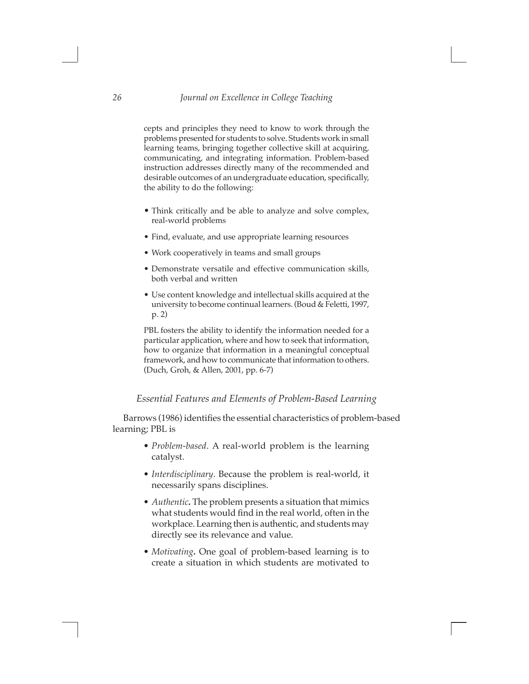$\Box$ 

cepts and principles they need to know to work through the problems presented for students to solve. Students work in small learning teams, bringing together collective skill at acquiring, communicating, and integrating information. Problem-based instruction addresses directly many of the recommended and desirable outcomes of an undergraduate education, specifically, the ability to do the following:

- Think critically and be able to analyze and solve complex, real-world problems
- Find, evaluate, and use appropriate learning resources
- Work cooperatively in teams and small groups
- Demonstrate versatile and effective communication skills, both verbal and written
- Use content knowledge and intellectual skills acquired at the university to become continual learners. (Boud & Feletti, 1997, p. 2)

PBL fosters the ability to identify the information needed for a particular application, where and how to seek that information, how to organize that information in a meaningful conceptual framework, and how to communicate that information to others. (Duch, Groh, & Allen, 2001, pp. 6-7)

#### *Essential Features and Elements of Problem-Based Learning*

Barrows (1986) identifies the essential characteristics of problem-based learning; PBL is

- *• Problem-based*. A real-world problem is the learning catalyst.
- *• Interdisciplinary*. Because the problem is real-world, it necessarily spans disciplines.
- *• Authentic***.** The problem presents a situation that mimics what students would find in the real world, often in the workplace. Learning then is authentic, and students may directly see its relevance and value.
- *• Motivating***.** One goal of problem-based learning is to create a situation in which students are motivated to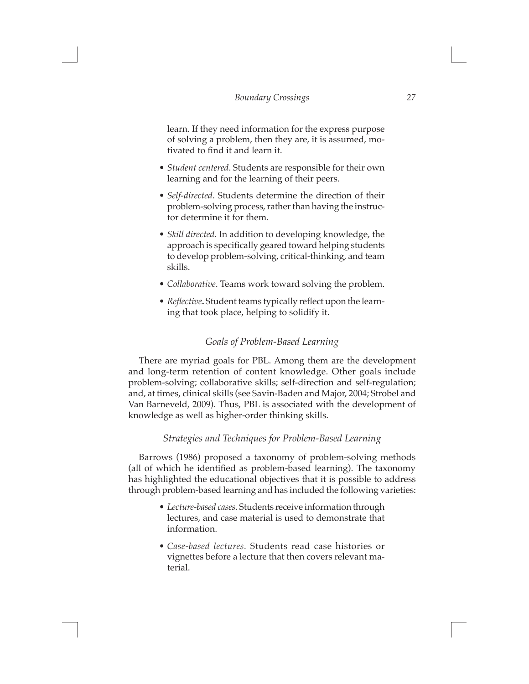$\Box$ 

learn. If they need information for the express purpose of solving a problem, then they are, it is assumed, motivated to find it and learn it.

- *• Student centered*. Students are responsible for their own learning and for the learning of their peers.
- *• Self-directed*. Students determine the direction of their problem-solving process, rather than having the instructor determine it for them.
- *• Skill directed*. In addition to developing knowledge, the approach is specifically geared toward helping students to develop problem-solving, critical-thinking, and team skills.
- *• Collaborative*. Teams work toward solving the problem.
- *• Reflective***.** Student teams typically reflect upon the learning that took place, helping to solidify it.

#### *Goals of Problem-Based Learning*

There are myriad goals for PBL. Among them are the development and long-term retention of content knowledge. Other goals include problem-solving; collaborative skills; self-direction and self-regulation; and, at times, clinical skills (see Savin-Baden and Major, 2004; Strobel and Van Barneveld, 2009). Thus, PBL is associated with the development of knowledge as well as higher-order thinking skills.

#### *Strategies and Techniques for Problem-Based Learning*

Barrows (1986) proposed a taxonomy of problem-solving methods (all of which he identified as problem-based learning). The taxonomy has highlighted the educational objectives that it is possible to address through problem-based learning and has included the following varieties:

- *• Lecture-based cases.* Students receive information through lectures, and case material is used to demonstrate that information.
- *• Case-based lectures.* Students read case histories or vignettes before a lecture that then covers relevant material.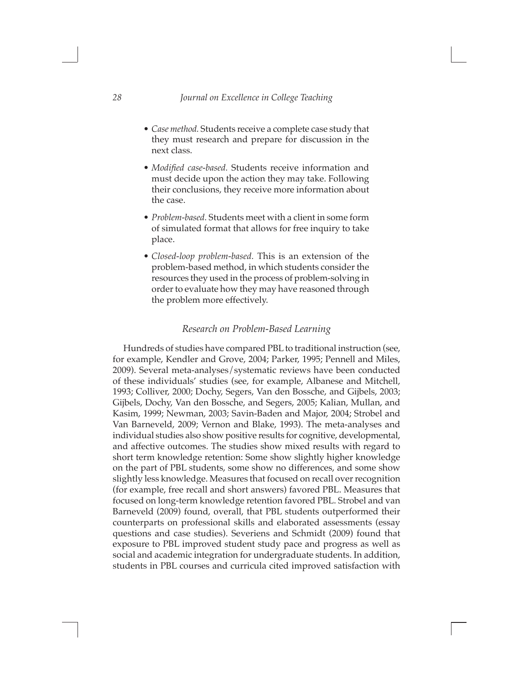$\Box$ 

- *• Case method.* Students receive a complete case study that they must research and prepare for discussion in the next class.
- *• Modified case-based.* Students receive information and must decide upon the action they may take. Following their conclusions, they receive more information about the case.
- *• Problem-based.* Students meet with a client in some form of simulated format that allows for free inquiry to take place.
- *• Closed-loop problem-based.* This is an extension of the problem-based method, in which students consider the resources they used in the process of problem-solving in order to evaluate how they may have reasoned through the problem more effectively.

#### *Research on Problem-Based Learning*

Hundreds of studies have compared PBL to traditional instruction (see, for example, Kendler and Grove, 2004; Parker, 1995; Pennell and Miles, 2009). Several meta-analyses/systematic reviews have been conducted of these individuals' studies (see, for example, Albanese and Mitchell, 1993; Colliver, 2000; Dochy, Segers, Van den Bossche, and Gijbels, 2003; Gijbels, Dochy, Van den Bossche, and Segers, 2005; Kalian, Mullan, and Kasim, 1999; Newman, 2003; Savin-Baden and Major, 2004; Strobel and Van Barneveld, 2009; Vernon and Blake, 1993). The meta-analyses and individual studies also show positive results for cognitive, developmental, and affective outcomes. The studies show mixed results with regard to short term knowledge retention: Some show slightly higher knowledge on the part of PBL students, some show no differences, and some show slightly less knowledge. Measures that focused on recall over recognition (for example, free recall and short answers) favored PBL. Measures that focused on long-term knowledge retention favored PBL. Strobel and van Barneveld (2009) found, overall, that PBL students outperformed their counterparts on professional skills and elaborated assessments (essay questions and case studies). Severiens and Schmidt (2009) found that exposure to PBL improved student study pace and progress as well as social and academic integration for undergraduate students. In addition, students in PBL courses and curricula cited improved satisfaction with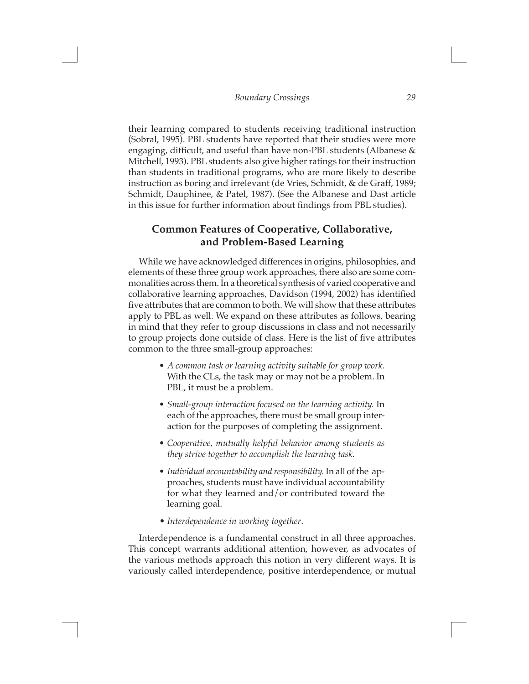$\Box$ 

their learning compared to students receiving traditional instruction (Sobral, 1995). PBL students have reported that their studies were more engaging, difficult, and useful than have non-PBL students (Albanese & Mitchell, 1993). PBL students also give higher ratings for their instruction than students in traditional programs, who are more likely to describe instruction as boring and irrelevant (de Vries, Schmidt, & de Graff, 1989; Schmidt, Dauphinee, & Patel, 1987). (See the Albanese and Dast article in this issue for further information about findings from PBL studies).

# **Common Features of Cooperative, Collaborative, and Problem-Based Learning**

While we have acknowledged differences in origins, philosophies, and elements of these three group work approaches, there also are some commonalities across them. In a theoretical synthesis of varied cooperative and collaborative learning approaches, Davidson (1994, 2002) has identified five attributes that are common to both. We will show that these attributes apply to PBL as well. We expand on these attributes as follows, bearing in mind that they refer to group discussions in class and not necessarily to group projects done outside of class. Here is the list of five attributes common to the three small-group approaches:

- *• A common task or learning activity suitable for group work.* With the CLs, the task may or may not be a problem. In PBL, it must be a problem.
- *• Small-group interaction focused on the learning activity.* In each of the approaches, there must be small group interaction for the purposes of completing the assignment.
- *• Cooperative, mutually helpful behavior among students as they strive together to accomplish the learning task.*
- *• Individual accountability and responsibility.* In all of the approaches, students must have individual accountability for what they learned and/or contributed toward the learning goal.
- *Interdependence in working together*.

 $\Box$ 

Interdependence is a fundamental construct in all three approaches. This concept warrants additional attention, however, as advocates of the various methods approach this notion in very different ways. It is variously called interdependence, positive interdependence, or mutual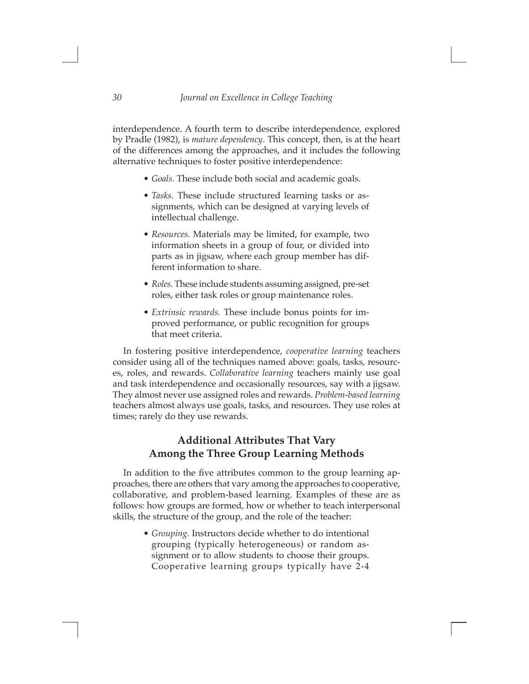interdependence. A fourth term to describe interdependence, explored by Pradle (1982), is *mature dependency*. This concept, then, is at the heart of the differences among the approaches, and it includes the following alternative techniques to foster positive interdependence:

 $\Box$ 

- *• Goals.* These include both social and academic goals.
- *• Tasks.* These include structured learning tasks or assignments, which can be designed at varying levels of intellectual challenge.
- *• Resources.* Materials may be limited, for example, two information sheets in a group of four, or divided into parts as in jigsaw, where each group member has different information to share.
- *• Roles.* These include students assuming assigned, pre-set roles, either task roles or group maintenance roles.
- *• Extrinsic rewards.* These include bonus points for improved performance, or public recognition for groups that meet criteria.

In fostering positive interdependence, *cooperative learning* teachers consider using all of the techniques named above: goals, tasks, resources, roles, and rewards. *Collaborative learning* teachers mainly use goal and task interdependence and occasionally resources, say with a jigsaw. They almost never use assigned roles and rewards. *Problem-based learning* teachers almost always use goals, tasks, and resources. They use roles at times; rarely do they use rewards.

# **Additional Attributes That Vary Among the Three Group Learning Methods**

In addition to the five attributes common to the group learning approaches, there are others that vary among the approaches to cooperative, collaborative, and problem-based learning. Examples of these are as follows: how groups are formed, how or whether to teach interpersonal skills, the structure of the group, and the role of the teacher:

> *• Grouping.* Instructors decide whether to do intentional grouping (typically heterogeneous) or random assignment or to allow students to choose their groups. Cooperative learning groups typically have 2-4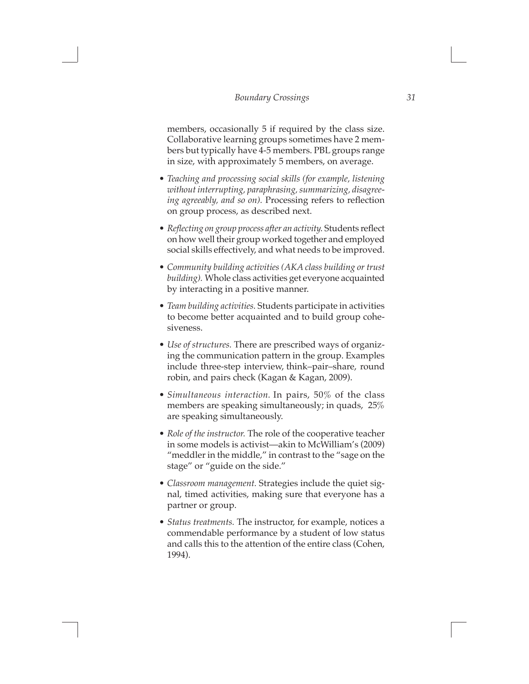$\Box$ 

members, occasionally 5 if required by the class size. Collaborative learning groups sometimes have 2 members but typically have 4-5 members. PBL groups range in size, with approximately 5 members, on average.

- *• Teaching and processing social skills (for example, listening without interrupting, paraphrasing, summarizing, disagreeing agreeably, and so on).* Processing refers to reflection on group process, as described next.
- *Reflecting on group process after an activity.* Students reflect on how well their group worked together and employed social skills effectively, and what needs to be improved.
- *• Community building activities (AKA class building or trust building).* Whole class activities get everyone acquainted by interacting in a positive manner.
- *• Team building activities.* Students participate in activities to become better acquainted and to build group cohesiveness.
- *• Use of structures.* There are prescribed ways of organizing the communication pattern in the group. Examples include three-step interview, think–pair–share, round robin, and pairs check (Kagan & Kagan, 2009).
- *• Simultaneous interaction.* In pairs, 50% of the class members are speaking simultaneously; in quads, 25% are speaking simultaneously.
- *• Role of the instructor.* The role of the cooperative teacher in some models is activist—akin to McWilliam's (2009) "meddler in the middle," in contrast to the "sage on the stage" or "guide on the side."
- *• Classroom management.* Strategies include the quiet signal, timed activities, making sure that everyone has a partner or group.
- *• Status treatments.* The instructor, for example, notices a commendable performance by a student of low status and calls this to the attention of the entire class (Cohen, 1994).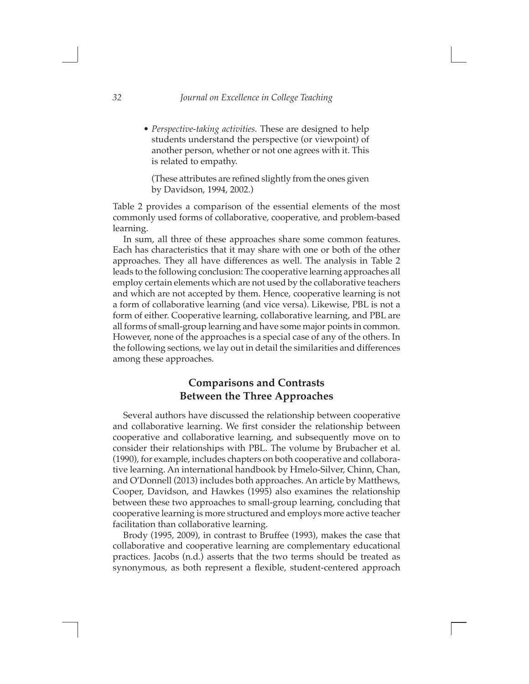$\Box$ 

*• Perspective-taking activities.* These are designed to help students understand the perspective (or viewpoint) of another person, whether or not one agrees with it. This is related to empathy.

(These attributes are refined slightly from the ones given by Davidson, 1994, 2002.)

Table 2 provides a comparison of the essential elements of the most commonly used forms of collaborative, cooperative, and problem-based learning.

In sum, all three of these approaches share some common features. Each has characteristics that it may share with one or both of the other approaches. They all have differences as well. The analysis in Table 2 leads to the following conclusion: The cooperative learning approaches all employ certain elements which are not used by the collaborative teachers and which are not accepted by them. Hence, cooperative learning is not a form of collaborative learning (and vice versa). Likewise, PBL is not a form of either. Cooperative learning, collaborative learning, and PBL are all forms of small-group learning and have some major points in common. However, none of the approaches is a special case of any of the others. In the following sections, we lay out in detail the similarities and differences among these approaches.

# **Comparisons and Contrasts Between the Three Approaches**

Several authors have discussed the relationship between cooperative and collaborative learning. We first consider the relationship between cooperative and collaborative learning, and subsequently move on to consider their relationships with PBL. The volume by Brubacher et al. (1990), for example, includes chapters on both cooperative and collaborative learning. An international handbook by Hmelo-Silver, Chinn, Chan, and O'Donnell (2013) includes both approaches. An article by Matthews, Cooper, Davidson, and Hawkes (1995) also examines the relationship between these two approaches to small-group learning, concluding that cooperative learning is more structured and employs more active teacher facilitation than collaborative learning.

Brody (1995, 2009), in contrast to Bruffee (1993), makes the case that collaborative and cooperative learning are complementary educational practices. Jacobs (n.d.) asserts that the two terms should be treated as synonymous, as both represent a flexible, student-centered approach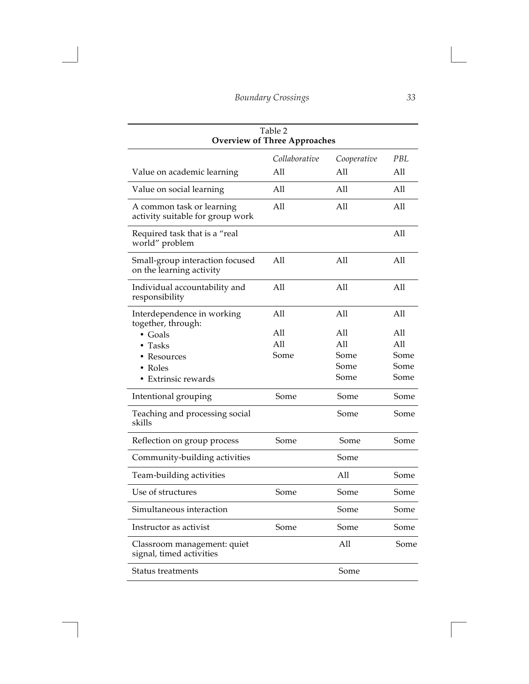$\Box$ 

| Table 2<br><b>Overview of Three Approaches</b>                                      |                    |                                    |                                    |
|-------------------------------------------------------------------------------------|--------------------|------------------------------------|------------------------------------|
|                                                                                     | Collaborative      | Cooperative                        | PBL.                               |
| Value on academic learning                                                          | All                | All                                | All                                |
| Value on social learning                                                            | All                | All                                | All                                |
| A common task or learning<br>activity suitable for group work                       | All                | All                                | All                                |
| Required task that is a "real<br>world" problem                                     |                    |                                    | All                                |
| Small-group interaction focused<br>on the learning activity                         | All                | All                                | All                                |
| Individual accountability and<br>responsibility                                     | All                | All                                | All                                |
| Interdependence in working                                                          | All                | All                                | All                                |
| together, through:<br>• Goals<br>Tasks<br>Resources<br>Roles<br>• Extrinsic rewards | All<br>All<br>Some | All<br>All<br>Some<br>Some<br>Some | All<br>All<br>Some<br>Some<br>Some |
| Intentional grouping                                                                | Some               | Some                               | Some                               |
| Teaching and processing social<br>skills                                            |                    | Some                               | Some                               |
| Reflection on group process                                                         | Some               | Some                               | Some                               |
| Community-building activities                                                       |                    | Some                               |                                    |
| Team-building activities                                                            |                    | All                                | Some                               |
| Use of structures                                                                   | Some               | Some                               | Some                               |
| Simultaneous interaction                                                            |                    | Some                               | Some                               |
| Instructor as activist                                                              | Some               | Some                               | Some                               |
| Classroom management: quiet<br>signal, timed activities                             |                    | All                                | Some                               |
| Status treatments                                                                   |                    | Some                               |                                    |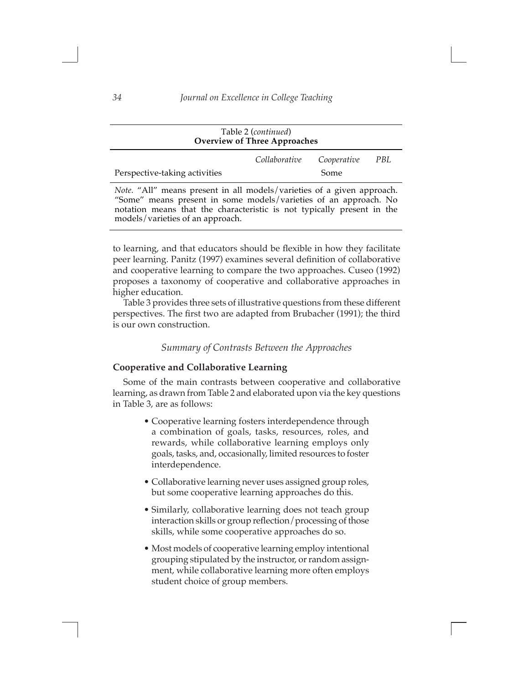| Table 2 ( <i>continued</i> )<br><b>Overview of Three Approaches</b>                                                                              |               |             |     |
|--------------------------------------------------------------------------------------------------------------------------------------------------|---------------|-------------|-----|
|                                                                                                                                                  | Collaborative | Cooperative | PBL |
| Perspective-taking activities                                                                                                                    |               | Some        |     |
| <i>Note.</i> "All" means present in all models/varieties of a given approach.<br>"Some" means present in some models/varieties of an approach No |               |             |     |

"Some" means present in some models/varieties of an approach. No notation means that the characteristic is not typically present in the models/varieties of an approach.

to learning, and that educators should be flexible in how they facilitate peer learning. Panitz (1997) examines several definition of collaborative and cooperative learning to compare the two approaches. Cuseo (1992) proposes a taxonomy of cooperative and collaborative approaches in higher education.

Table 3 provides three sets of illustrative questions from these different perspectives. The first two are adapted from Brubacher (1991); the third is our own construction.

#### *Summary of Contrasts Between the Approaches*

#### **Cooperative and Collaborative Learning**

Some of the main contrasts between cooperative and collaborative learning, as drawn from Table 2 and elaborated upon via the key questions in Table 3, are as follows:

- Cooperative learning fosters interdependence through a combination of goals, tasks, resources, roles, and rewards, while collaborative learning employs only goals, tasks, and, occasionally, limited resources to foster interdependence.
- Collaborative learning never uses assigned group roles, but some cooperative learning approaches do this.
- Similarly, collaborative learning does not teach group interaction skills or group reflection/processing of those skills, while some cooperative approaches do so.
- Most models of cooperative learning employ intentional grouping stipulated by the instructor, or random assignment, while collaborative learning more often employs student choice of group members.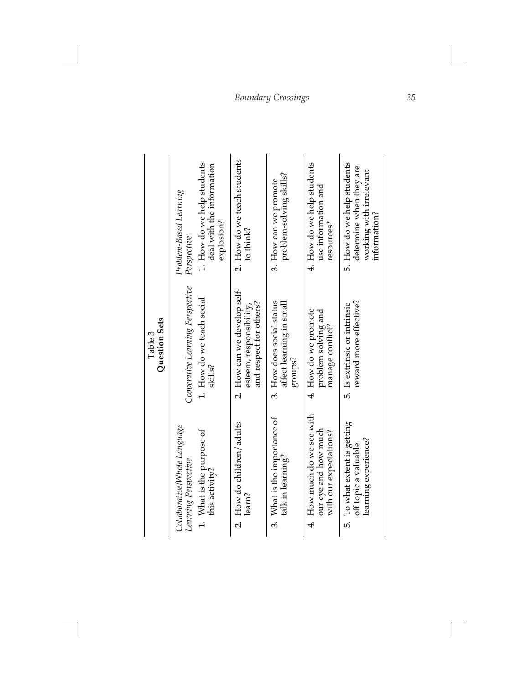# *Boundary Crossings 35*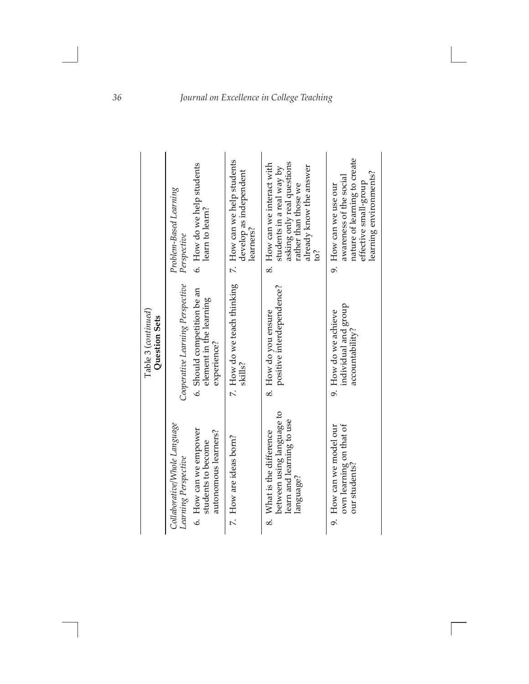|                                      | 6. How do we help students<br>Problem-Based Learning<br>learn to learn?<br>Perspective                                      | 7. How can we help students<br>develop as independent<br>learners? | asking only real questions<br>8. How can we interact with<br>already know the answer<br>students in a real way by<br>rather than those we<br>Ś | nature of learning to create<br>learning environments?<br>awareness of the social<br>effective small-group<br>9. How can we use our |
|--------------------------------------|-----------------------------------------------------------------------------------------------------------------------------|--------------------------------------------------------------------|------------------------------------------------------------------------------------------------------------------------------------------------|-------------------------------------------------------------------------------------------------------------------------------------|
| Table 3 (continued)<br>Question Sets | Cooperative Learning Perspective<br>6. Should competition be an<br>element in the learning<br>experience?                   | 7. How do we teach thinking<br>skills?                             | positive interdependence?<br>8. How do you ensure                                                                                              | individual and group<br>9. How do we achieve<br>accountability?                                                                     |
|                                      | Collaborative/Whole Language<br>6. How can we empower<br>autonomous learners?<br>students to become<br>Learning Perspective | 7. How are ideas born?                                             | between using language to<br>learn and learning to use<br>What is the difference<br>language?<br>$\infty$                                      | own learning on that of<br>9. How can we model our<br>our students?                                                                 |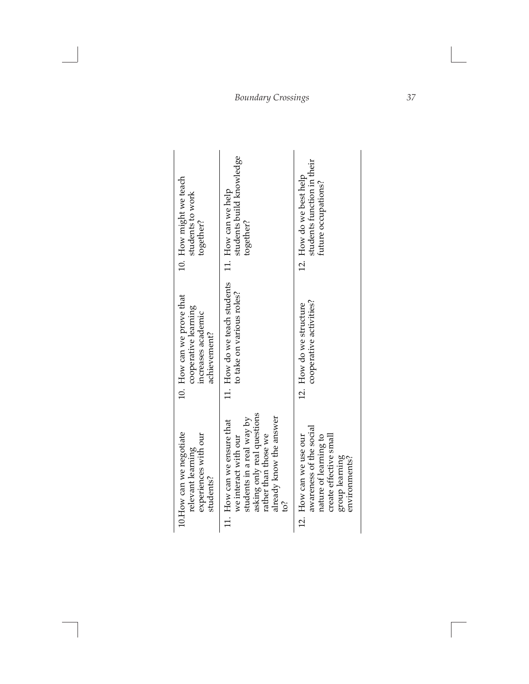| 10. How might we teach<br>students to work<br>together?                                 | students build knowledge<br>11. How can we help<br>together?                                                                                                            | students function in their<br>12. How do we best help<br>future occupations?                                                            |
|-----------------------------------------------------------------------------------------|-------------------------------------------------------------------------------------------------------------------------------------------------------------------------|-----------------------------------------------------------------------------------------------------------------------------------------|
| 10. How can we prove that<br>cooperative learning<br>increases academic<br>achievement? | 11. How do we teach students<br>to take on various roles?                                                                                                               | cooperative activities?<br>12. How do we structure                                                                                      |
| 10. How can we negotiate<br>experiences with our<br>relevant learning<br>students?      | asking only real questions<br>already know the answer<br>students in a real way by<br>11. How can we ensure that<br>rather than those we<br>we interact with our<br>io? | awareness of the social<br>nature of learning to<br>12. How can we use our<br>create effective small<br>group learning<br>environments? |

# *Boundary Crossings 37*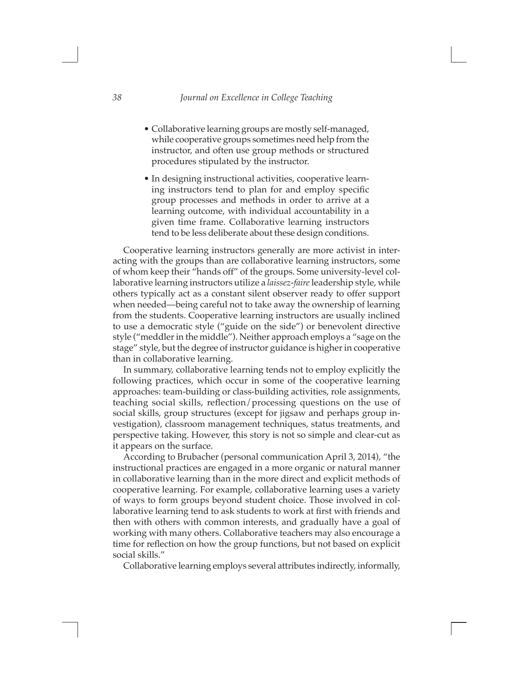$\Box$ 

- Collaborative learning groups are mostly self-managed, while cooperative groups sometimes need help from the instructor, and often use group methods or structured procedures stipulated by the instructor.
- In designing instructional activities, cooperative learning instructors tend to plan for and employ specific group processes and methods in order to arrive at a learning outcome, with individual accountability in a given time frame. Collaborative learning instructors tend to be less deliberate about these design conditions.

Cooperative learning instructors generally are more activist in interacting with the groups than are collaborative learning instructors, some of whom keep their "hands off" of the groups. Some university-level collaborative learning instructors utilize a *laissez-faire* leadership style, while others typically act as a constant silent observer ready to offer support when needed—being careful not to take away the ownership of learning from the students. Cooperative learning instructors are usually inclined to use a democratic style ("guide on the side") or benevolent directive style ("meddler in the middle"). Neither approach employs a "sage on the stage" style, but the degree of instructor guidance is higher in cooperative than in collaborative learning.

In summary, collaborative learning tends not to employ explicitly the following practices, which occur in some of the cooperative learning approaches: team-building or class-building activities, role assignments, teaching social skills, reflection/processing questions on the use of social skills, group structures (except for jigsaw and perhaps group investigation), classroom management techniques, status treatments, and perspective taking. However, this story is not so simple and clear-cut as it appears on the surface.

According to Brubacher (personal communication April 3, 2014), "the instructional practices are engaged in a more organic or natural manner in collaborative learning than in the more direct and explicit methods of cooperative learning. For example, collaborative learning uses a variety of ways to form groups beyond student choice. Those involved in collaborative learning tend to ask students to work at first with friends and then with others with common interests, and gradually have a goal of working with many others. Collaborative teachers may also encourage a time for reflection on how the group functions, but not based on explicit social skills."

Collaborative learning employs several attributes indirectly, informally,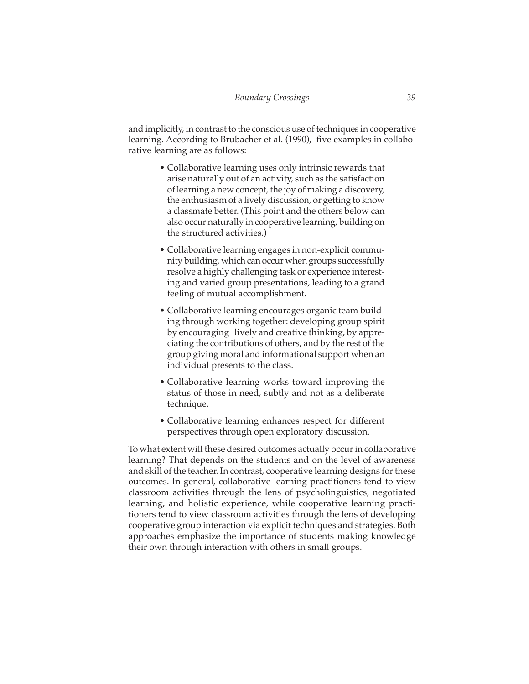and implicitly, in contrast to the conscious use of techniques in cooperative learning. According to Brubacher et al. (1990), five examples in collaborative learning are as follows:

- Collaborative learning uses only intrinsic rewards that arise naturally out of an activity, such as the satisfaction of learning a new concept, the joy of making a discovery, the enthusiasm of a lively discussion, or getting to know a classmate better. (This point and the others below can also occur naturally in cooperative learning, building on the structured activities.)
- Collaborative learning engages in non-explicit community building, which can occur when groups successfully resolve a highly challenging task or experience interesting and varied group presentations, leading to a grand feeling of mutual accomplishment.
- Collaborative learning encourages organic team building through working together: developing group spirit by encouraging lively and creative thinking, by appreciating the contributions of others, and by the rest of the group giving moral and informational support when an individual presents to the class.
- Collaborative learning works toward improving the status of those in need, subtly and not as a deliberate technique.
- Collaborative learning enhances respect for different perspectives through open exploratory discussion.

To what extent will these desired outcomes actually occur in collaborative learning? That depends on the students and on the level of awareness and skill of the teacher. In contrast, cooperative learning designs for these outcomes. In general, collaborative learning practitioners tend to view classroom activities through the lens of psycholinguistics, negotiated learning, and holistic experience, while cooperative learning practitioners tend to view classroom activities through the lens of developing cooperative group interaction via explicit techniques and strategies. Both approaches emphasize the importance of students making knowledge their own through interaction with others in small groups.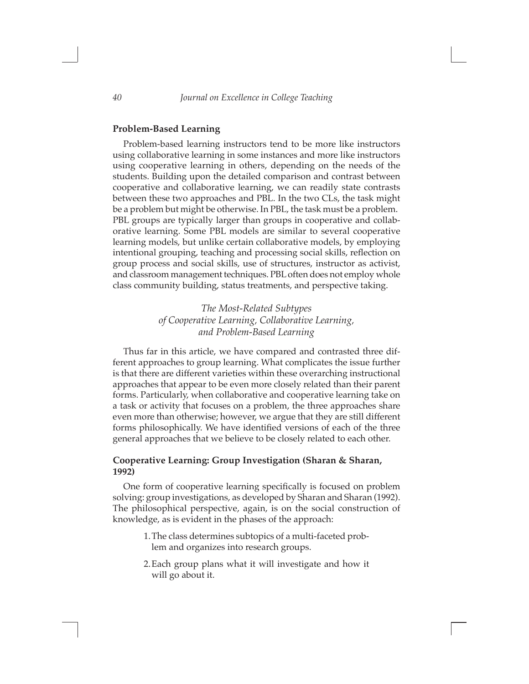$\Box$ 

#### **Problem-Based Learning**

Problem-based learning instructors tend to be more like instructors using collaborative learning in some instances and more like instructors using cooperative learning in others, depending on the needs of the students. Building upon the detailed comparison and contrast between cooperative and collaborative learning, we can readily state contrasts between these two approaches and PBL. In the two CLs, the task might be a problem but might be otherwise. In PBL, the task must be a problem. PBL groups are typically larger than groups in cooperative and collaborative learning. Some PBL models are similar to several cooperative learning models, but unlike certain collaborative models, by employing intentional grouping, teaching and processing social skills, reflection on group process and social skills, use of structures, instructor as activist, and classroom management techniques. PBL often does not employ whole class community building, status treatments, and perspective taking.

# *The Most-Related Subtypes of Cooperative Learning, Collaborative Learning, and Problem-Based Learning*

Thus far in this article, we have compared and contrasted three different approaches to group learning. What complicates the issue further is that there are different varieties within these overarching instructional approaches that appear to be even more closely related than their parent forms. Particularly, when collaborative and cooperative learning take on a task or activity that focuses on a problem, the three approaches share even more than otherwise; however, we argue that they are still different forms philosophically. We have identified versions of each of the three general approaches that we believe to be closely related to each other.

### **Cooperative Learning: Group Investigation (Sharan & Sharan, 1992)**

One form of cooperative learning specifically is focused on problem solving: group investigations, as developed by Sharan and Sharan (1992). The philosophical perspective, again, is on the social construction of knowledge, as is evident in the phases of the approach:

- 1.The class determines subtopics of a multi-faceted problem and organizes into research groups.
- 2.Each group plans what it will investigate and how it will go about it.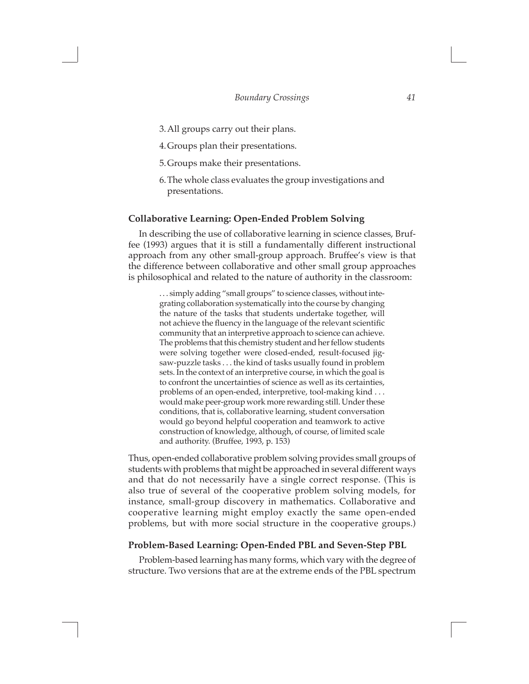$\Box$ 

- 3.All groups carry out their plans.
- 4.Groups plan their presentations.
- 5.Groups make their presentations.
- 6.The whole class evaluates the group investigations and presentations.

#### **Collaborative Learning: Open-Ended Problem Solving**

In describing the use of collaborative learning in science classes, Bruffee (1993) argues that it is still a fundamentally different instructional approach from any other small-group approach. Bruffee's view is that the difference between collaborative and other small group approaches is philosophical and related to the nature of authority in the classroom:

> . . . simply adding "small groups" to science classes, without integrating collaboration systematically into the course by changing the nature of the tasks that students undertake together, will not achieve the fluency in the language of the relevant scientific community that an interpretive approach to science can achieve. The problems that this chemistry student and her fellow students were solving together were closed-ended, result-focused jigsaw-puzzle tasks . . . the kind of tasks usually found in problem sets. In the context of an interpretive course, in which the goal is to confront the uncertainties of science as well as its certainties, problems of an open-ended, interpretive, tool-making kind . . . would make peer-group work more rewarding still. Under these conditions, that is, collaborative learning, student conversation would go beyond helpful cooperation and teamwork to active construction of knowledge, although, of course, of limited scale and authority. (Bruffee, 1993, p. 153)

Thus, open-ended collaborative problem solving provides small groups of students with problems that might be approached in several different ways and that do not necessarily have a single correct response. (This is also true of several of the cooperative problem solving models, for instance, small-group discovery in mathematics. Collaborative and cooperative learning might employ exactly the same open-ended problems, but with more social structure in the cooperative groups.)

#### **Problem-Based Learning: Open-Ended PBL and Seven-Step PBL**

Problem-based learning has many forms, which vary with the degree of structure. Two versions that are at the extreme ends of the PBL spectrum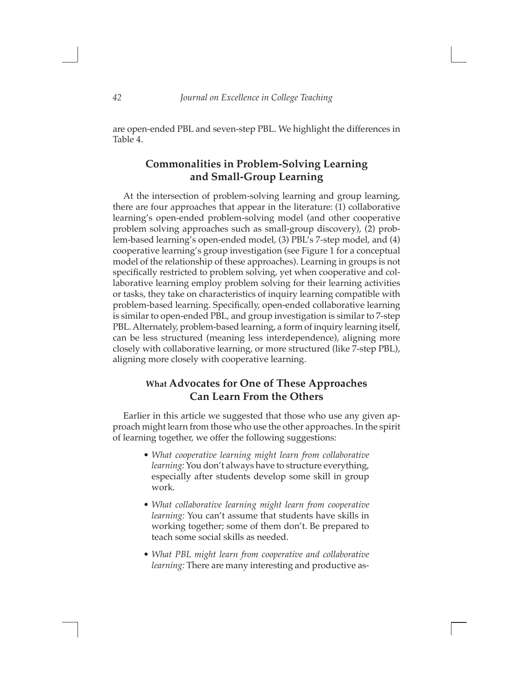are open-ended PBL and seven-step PBL. We highlight the differences in Table 4.

# **Commonalities in Problem-Solving Learning and Small-Group Learning**

At the intersection of problem-solving learning and group learning, there are four approaches that appear in the literature: (1) collaborative learning's open-ended problem-solving model (and other cooperative problem solving approaches such as small-group discovery), (2) problem-based learning's open-ended model, (3) PBL's 7-step model, and (4) cooperative learning's group investigation (see Figure 1 for a conceptual model of the relationship of these approaches). Learning in groups is not specifically restricted to problem solving, yet when cooperative and collaborative learning employ problem solving for their learning activities or tasks, they take on characteristics of inquiry learning compatible with problem-based learning. Specifically, open-ended collaborative learning is similar to open-ended PBL, and group investigation is similar to 7-step PBL. Alternately, problem-based learning, a form of inquiry learning itself, can be less structured (meaning less interdependence), aligning more closely with collaborative learning, or more structured (like 7-step PBL), aligning more closely with cooperative learning.

# **What Advocates for One of These Approaches Can Learn From the Others**

Earlier in this article we suggested that those who use any given approach might learn from those who use the other approaches. In the spirit of learning together, we offer the following suggestions:

- *• What cooperative learning might learn from collaborative learning:* You don't always have to structure everything, especially after students develop some skill in group work.
- *• What collaborative learning might learn from cooperative learning:* You can't assume that students have skills in working together; some of them don't. Be prepared to teach some social skills as needed.
- *• What PBL might learn from cooperative and collaborative learning:* There are many interesting and productive as-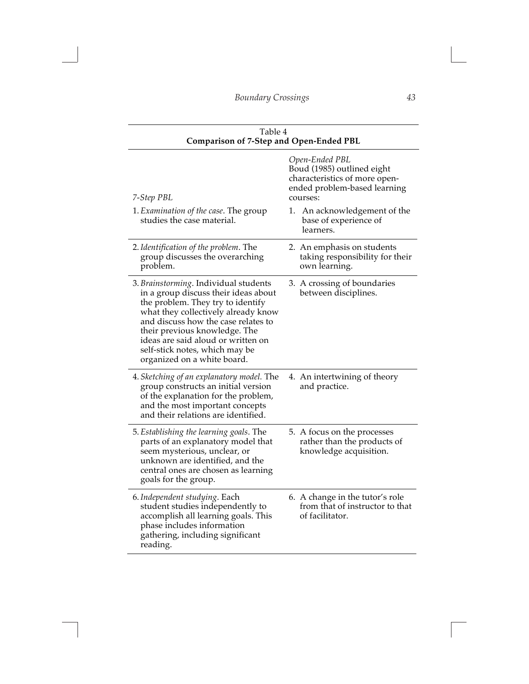$\Box$ 

| Table 4<br><b>Comparison of 7-Step and Open-Ended PBL</b>                                                                                                                                                                                                                                                                                |                                                                                                                           |  |
|------------------------------------------------------------------------------------------------------------------------------------------------------------------------------------------------------------------------------------------------------------------------------------------------------------------------------------------|---------------------------------------------------------------------------------------------------------------------------|--|
| 7-Step PBL                                                                                                                                                                                                                                                                                                                               | Open-Ended PBL<br>Boud (1985) outlined eight<br>characteristics of more open-<br>ended problem-based learning<br>courses: |  |
| 1. Examination of the case. The group<br>studies the case material.                                                                                                                                                                                                                                                                      | An acknowledgement of the<br>1. .<br>base of experience of<br>learners.                                                   |  |
| 2. Identification of the problem. The<br>group discusses the overarching<br>problem.                                                                                                                                                                                                                                                     | 2. An emphasis on students<br>taking responsibility for their<br>own learning.                                            |  |
| 3. Brainstorming. Individual students<br>in a group discuss their ideas about<br>the problem. They try to identify<br>what they collectively already know<br>and discuss how the case relates to<br>their previous knowledge. The<br>ideas are said aloud or written on<br>self-stick notes, which may be<br>organized on a white board. | 3. A crossing of boundaries<br>between disciplines.                                                                       |  |
| 4. Sketching of an explanatory model. The<br>group constructs an initial version<br>of the explanation for the problem,<br>and the most important concepts<br>and their relations are identified.                                                                                                                                        | 4. An intertwining of theory<br>and practice.                                                                             |  |
| 5. Establishing the learning goals. The<br>parts of an explanatory model that<br>seem mysterious, unclear, or<br>unknown are identified, and the<br>central ones are chosen as learning<br>goals for the group.                                                                                                                          | 5. A focus on the processes<br>rather than the products of<br>knowledge acquisition.                                      |  |
| 6. Independent studying. Each<br>student studies independently to<br>accomplish all learning goals. This<br>phase includes information<br>gathering, including significant<br>reading.                                                                                                                                                   | 6. A change in the tutor's role<br>from that of instructor to that<br>of facilitator.                                     |  |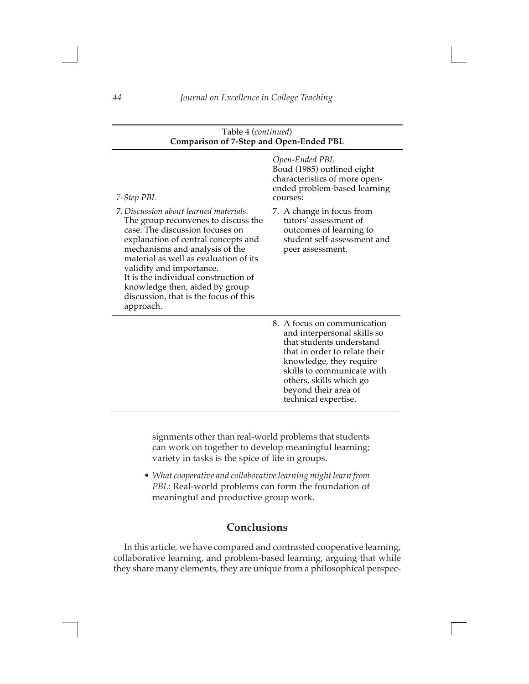| Table 4 (continued)<br><b>Comparison of 7-Step and Open-Ended PBL</b>                                                                                                                                                                                                                                                                                                                          |                                                                                                                                                                                                                                                             |  |
|------------------------------------------------------------------------------------------------------------------------------------------------------------------------------------------------------------------------------------------------------------------------------------------------------------------------------------------------------------------------------------------------|-------------------------------------------------------------------------------------------------------------------------------------------------------------------------------------------------------------------------------------------------------------|--|
| 7-Step PBL                                                                                                                                                                                                                                                                                                                                                                                     | Open-Ended PBL<br>Boud (1985) outlined eight<br>characteristics of more open-<br>ended problem-based learning<br>courses:                                                                                                                                   |  |
| 7. Discussion about learned materials.<br>The group reconvenes to discuss the<br>case. The discussion focuses on<br>explanation of central concepts and<br>mechanisms and analysis of the<br>material as well as evaluation of its<br>validity and importance.<br>It is the individual construction of<br>knowledge then, aided by group<br>discussion, that is the focus of this<br>approach. | 7. A change in focus from<br>tutors' assessment of<br>outcomes of learning to<br>student self-assessment and<br>peer assessment.                                                                                                                            |  |
|                                                                                                                                                                                                                                                                                                                                                                                                | 8. A focus on communication<br>and interpersonal skills so<br>that students understand<br>that in order to relate their<br>knowledge, they require<br>skills to communicate with<br>others, skills which go<br>beyond their area of<br>technical expertise. |  |

signments other than real-world problems that students can work on together to develop meaningful learning; variety in tasks is the spice of life in groups.

*• What cooperative and collaborative learning might learn from PBL:* Real-world problems can form the foundation of meaningful and productive group work.

# **Conclusions**

In this article, we have compared and contrasted cooperative learning, collaborative learning, and problem-based learning, arguing that while they share many elements, they are unique from a philosophical perspec-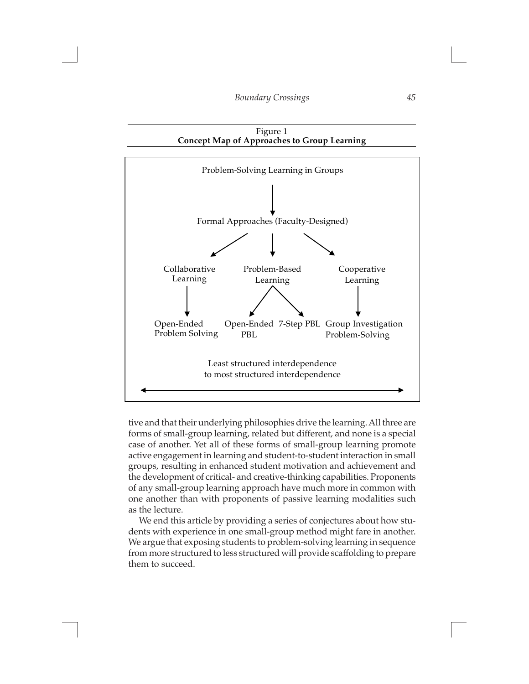$\overline{\phantom{0}}$ 

 $\Box$ 



tive and that their underlying philosophies drive the learning. All three are forms of small-group learning, related but different, and none is a special case of another. Yet all of these forms of small-group learning promote active engagement in learning and student-to-student interaction in small groups, resulting in enhanced student motivation and achievement and the development of critical- and creative-thinking capabilities. Proponents of any small-group learning approach have much more in common with one another than with proponents of passive learning modalities such as the lecture.

We end this article by providing a series of conjectures about how students with experience in one small-group method might fare in another. We argue that exposing students to problem-solving learning in sequence from more structured to less structured will provide scaffolding to prepare them to succeed.

 $\overline{\phantom{a}}$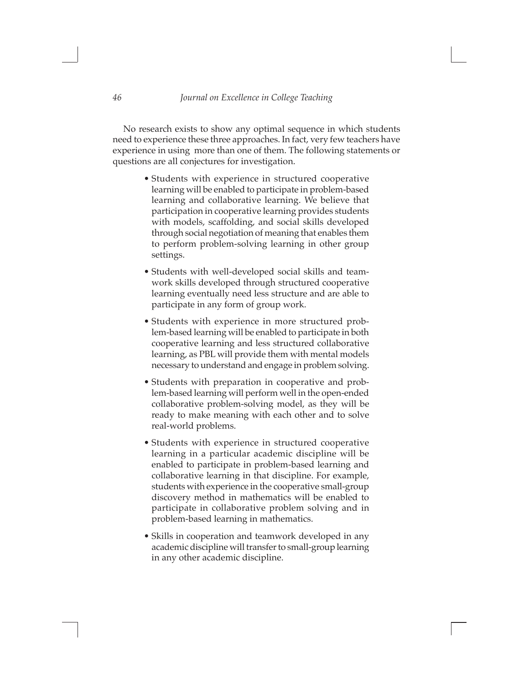$\Box$ 

No research exists to show any optimal sequence in which students need to experience these three approaches. In fact, very few teachers have experience in using more than one of them. The following statements or questions are all conjectures for investigation.

- Students with experience in structured cooperative learning will be enabled to participate in problem-based learning and collaborative learning. We believe that participation in cooperative learning provides students with models, scaffolding, and social skills developed through social negotiation of meaning that enables them to perform problem-solving learning in other group settings.
- Students with well-developed social skills and teamwork skills developed through structured cooperative learning eventually need less structure and are able to participate in any form of group work.
- Students with experience in more structured problem-based learning will be enabled to participate in both cooperative learning and less structured collaborative learning, as PBL will provide them with mental models necessary to understand and engage in problem solving.
- Students with preparation in cooperative and problem-based learning will perform well in the open-ended collaborative problem-solving model, as they will be ready to make meaning with each other and to solve real-world problems.
- Students with experience in structured cooperative learning in a particular academic discipline will be enabled to participate in problem-based learning and collaborative learning in that discipline. For example, students with experience in the cooperative small-group discovery method in mathematics will be enabled to participate in collaborative problem solving and in problem-based learning in mathematics.
- Skills in cooperation and teamwork developed in any academic discipline will transfer to small-group learning in any other academic discipline.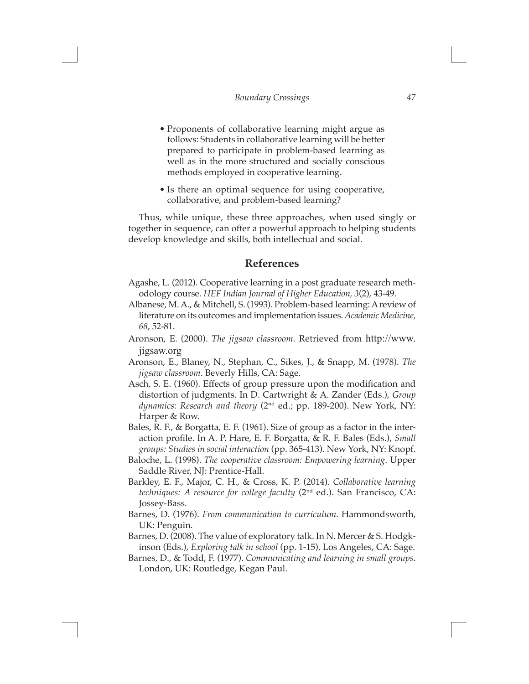$\Box$ 

- Proponents of collaborative learning might argue as follows: Students in collaborative learning will be better prepared to participate in problem-based learning as well as in the more structured and socially conscious methods employed in cooperative learning.
- Is there an optimal sequence for using cooperative, collaborative, and problem-based learning?

Thus, while unique, these three approaches, when used singly or together in sequence, can offer a powerful approach to helping students develop knowledge and skills, both intellectual and social.

### **References**

- Agashe, L. (2012). Cooperative learning in a post graduate research methodology course. *HEF Indian Journal of Higher Education, 3*(2), 43-49.
- Albanese, M. A., & Mitchell, S. (1993). Problem-based learning: A review of literature on its outcomes and implementation issues. *Academic Medicine, 68*, 52-81.
- Aronson, E. (2000). *The jigsaw classroom.* Retrieved from http://www. jigsaw.org
- Aronson, E., Blaney, N., Stephan, C., Sikes, J., & Snapp, M. (1978). *The jigsaw classroom*. Beverly Hills, CA: Sage.
- Asch, S. E. (1960). Effects of group pressure upon the modification and distortion of judgments. In D. Cartwright & A. Zander (Eds.), *Group*  dynamics: Research and theory (2<sup>nd</sup> ed.; pp. 189-200). New York, NY: Harper & Row.
- Bales, R. F., & Borgatta, E. F. (1961). Size of group as a factor in the interaction profile. In A. P. Hare, E. F. Borgatta, & R. F. Bales (Eds.), *Small groups: Studies in social interaction* (pp. 365-413). New York, NY: Knopf.
- Baloche, L. (1998). *The cooperative classroom: Empowering learning*. Upper Saddle River, NJ: Prentice-Hall.
- Barkley, E. F., Major, C. H., & Cross, K. P. (2014). *Collaborative learning techniques: A resource for college faculty* (2nd ed.). San Francisco, CA: Jossey-Bass.
- Barnes, D. (1976). *From communication to curriculum*. Hammondsworth, UK: Penguin.
- Barnes, D. (2008). The value of exploratory talk. In N. Mercer & S. Hodgkinson (Eds.), *Exploring talk in school* (pp. 1-15). Los Angeles, CA: Sage.
- Barnes, D., & Todd, F. (1977). *Communicating and learning in small groups*. London, UK: Routledge, Kegan Paul.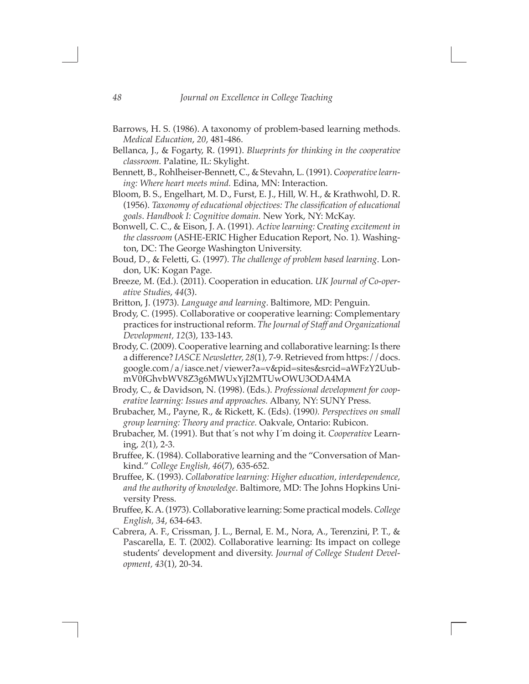- Barrows, H. S. (1986). A taxonomy of problem-based learning methods. *Medical Education*, *20*, 481-486.
- Bellanca, J., & Fogarty, R. (1991). *Blueprints for thinking in the cooperative classroom.* Palatine, IL: Skylight.
- Bennett, B., Rohlheiser-Bennett, C., & Stevahn, L. (1991). *Cooperative learning: Where heart meets mind.* Edina, MN: Interaction.
- Bloom, B. S., Engelhart, M. D., Furst, E. J., Hill, W. H., & Krathwohl, D. R. (1956). *Taxonomy of educational objectives: The classification of educational goals*. *Handbook I: Cognitive domain.* New York, NY: McKay.
- Bonwell, C. C., & Eison, J. A. (1991). *Active learning: Creating excitement in the classroom* (ASHE-ERIC Higher Education Report, No. 1)*.* Washington, DC: The George Washington University.
- Boud, D., & Feletti, G. (1997). *The challenge of problem based learning*. London, UK: Kogan Page.
- Breeze, M. (Ed.). (2011). Cooperation in education. *UK Journal of Co-operative Studies*, *44*(3).
- Britton, J. (1973). *Language and learning*. Baltimore, MD: Penguin.
- Brody, C. (1995). Collaborative or cooperative learning: Complementary practices for instructional reform. *The Journal of Staff and Organizational Development, 12*(3), 133-143.
- Brody, C. (2009). Cooperative learning and collaborative learning: Is there a difference? *IASCE Newsletter, 28*(1), 7-9. Retrieved from https://docs. google.com/a/iasce.net/viewer?a=v&pid=sites&srcid=aWFzY2UubmV0fGhvbWV8Z3g6MWUxYjI2MTUwOWU3ODA4MA
- Brody, C., & Davidson, N. (1998). (Eds.). *Professional development for cooperative learning: Issues and approaches.* Albany, NY: SUNY Press.
- Brubacher, M., Payne, R., & Rickett, K. (Eds). (1990*). Perspectives on small group learning: Theory and practice.* Oakvale, Ontario: Rubicon.
- Brubacher, M. (1991). But that´s not why I´m doing it. *Cooperative* Learning, *2*(1), 2-3.
- Bruffee, K. (1984). Collaborative learning and the "Conversation of Mankind." *College English, 46*(7), 635-652.
- Bruffee, K. (1993). *Collaborative learning: Higher education, interdependence, and the authority of knowledge*. Baltimore, MD: The Johns Hopkins University Press.
- Bruffee, K. A. (1973). Collaborative learning: Some practical models. *College English, 34*, 634-643.
- Cabrera, A. F., Crissman, J. L., Bernal, E. M., Nora, A., Terenzini, P. T., & Pascarella, E. T. (2002). Collaborative learning: Its impact on college students' development and diversity. *Journal of College Student Development, 43*(1), 20-34.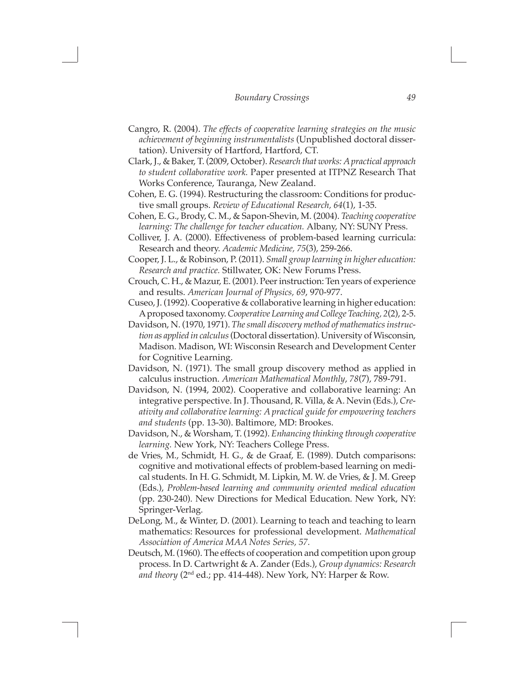$\Box$ 

- Cangro, R. (2004). *The effects of cooperative learning strategies on the music achievement of beginning instrumentalists* (Unpublished doctoral dissertation). University of Hartford, Hartford, CT.
- Clark, J., & Baker, T. (2009, October). *Research that works: A practical approach to student collaborative work.* Paper presented at ITPNZ Research That Works Conference, Tauranga, New Zealand.
- Cohen, E. G. (1994). Restructuring the classroom: Conditions for productive small groups. *Review of Educational Research, 64*(1), 1-35.
- Cohen, E. G., Brody, C. M., & Sapon-Shevin, M. (2004). *Teaching cooperative learning: The challenge for teacher education.* Albany, NY: SUNY Press.
- Colliver, J. A. (2000). Effectiveness of problem-based learning curricula: Research and theory. *Academic Medicine, 75*(3), 259-266.
- Cooper, J. L., & Robinson, P. (2011). *Small group learning in higher education: Research and practice.* Stillwater, OK: New Forums Press.
- Crouch, C. H., & Mazur, E. (2001). Peer instruction: Ten years of experience and results. *American Journal of Physics, 69*, 970-977.
- Cuseo, J. (1992). Cooperative & collaborative learning in higher education: A proposed taxonomy. *Cooperative Learning and College Teaching, 2*(2), 2-5.
- Davidson, N. (1970, 1971). *The small discovery method of mathematics instruction as applied in calculus* (Doctoral dissertation). University of Wisconsin, Madison. Madison, WI: Wisconsin Research and Development Center for Cognitive Learning.
- Davidson, N. (1971). The small group discovery method as applied in calculus instruction. *American Mathematical Monthly*, *78*(7), 789-791.
- Davidson, N. (1994, 2002). Cooperative and collaborative learning: An integrative perspective. In J. Thousand, R. Villa, & A. Nevin (Eds.), *Creativity and collaborative learning: A practical guide for empowering teachers and students* (pp. 13-30). Baltimore, MD: Brookes.
- Davidson, N., & Worsham, T. (1992). *Enhancing thinking through cooperative learning.* New York, NY: Teachers College Press.
- de Vries, M., Schmidt, H. G., & de Graaf, E. (1989). Dutch comparisons: cognitive and motivational effects of problem-based learning on medical students. In H. G. Schmidt, M. Lipkin, M. W. de Vries, & J. M. Greep (Eds.), *Problem-based learning and community oriented medical education* (pp. 230-240). New Directions for Medical Education. New York, NY: Springer-Verlag.
- DeLong, M., & Winter, D. (2001). Learning to teach and teaching to learn mathematics: Resources for professional development. *Mathematical Association of America MAA Notes Series, 57.*
- Deutsch, M. (1960). The effects of cooperation and competition upon group process. In D. Cartwright & A. Zander (Eds.), *Group dynamics: Research and theory* (2nd ed.; pp. 414-448). New York, NY: Harper & Row.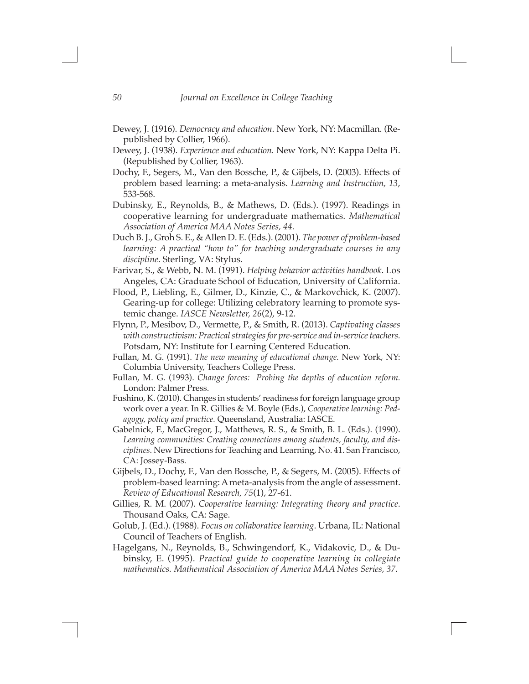- Dewey, J. (1916). *Democracy and education*. New York, NY: Macmillan. (Republished by Collier, 1966).
- Dewey, J. (1938). *Experience and education.* New York, NY: Kappa Delta Pi. (Republished by Collier, 1963).
- Dochy, F., Segers, M., Van den Bossche, P., & Gijbels, D. (2003). Effects of problem based learning: a meta-analysis. *Learning and Instruction, 13*, 533-568.
- Dubinsky, E., Reynolds, B., & Mathews, D. (Eds.). (1997). Readings in cooperative learning for undergraduate mathematics. *Mathematical Association of America MAA Notes Series, 44.*
- Duch B. J., Groh S. E., & Allen D. E. (Eds.). (2001). *The power of problem-based learning: A practical "how to" for teaching undergraduate courses in any discipline*. Sterling, VA: Stylus.
- Farivar, S., & Webb, N. M. (1991). *Helping behavior activities handbook*. Los Angeles, CA: Graduate School of Education, University of California.
- Flood, P., Liebling, E., Gilmer, D., Kinzie, C., & Markovchick, K. (2007). Gearing-up for college: Utilizing celebratory learning to promote systemic change. *IASCE Newsletter, 26*(2), 9-12.
- Flynn, P., Mesibov, D., Vermette, P., & Smith, R. (2013). *Captivating classes with constructivism: Practical strategies for pre-service and in-service teachers.*  Potsdam, NY: Institute for Learning Centered Education.
- Fullan, M. G. (1991). *The new meaning of educational change.* New York, NY: Columbia University, Teachers College Press.
- Fullan, M. G. (1993). *Change forces: Probing the depths of education reform.*  London: Palmer Press.
- Fushino, K. (2010). Changes in students' readiness for foreign language group work over a year. In R. Gillies & M. Boyle (Eds.), *Cooperative learning: Pedagogy, policy and practice.* Queensland, Australia: IASCE.
- Gabelnick, F., MacGregor, J., Matthews, R. S., & Smith, B. L. (Eds.). (1990). *Learning communities: Creating connections among students, faculty, and disciplines*. New Directions for Teaching and Learning, No. 41. San Francisco, CA: Jossey-Bass.
- Gijbels, D., Dochy, F., Van den Bossche, P., & Segers, M. (2005). Effects of problem-based learning: A meta-analysis from the angle of assessment. *Review of Educational Research, 75*(1), 27-61.
- Gillies, R. M. (2007). *Cooperative learning: Integrating theory and practice*. Thousand Oaks, CA: Sage.
- Golub, J. (Ed.). (1988). *Focus on collaborative learning*. Urbana, IL: National Council of Teachers of English.
- Hagelgans, N., Reynolds, B., Schwingendorf, K., Vidakovic, D., & Dubinsky, E. (1995). *Practical guide to cooperative learning in collegiate mathematics. Mathematical Association of America MAA Notes Series, 37.*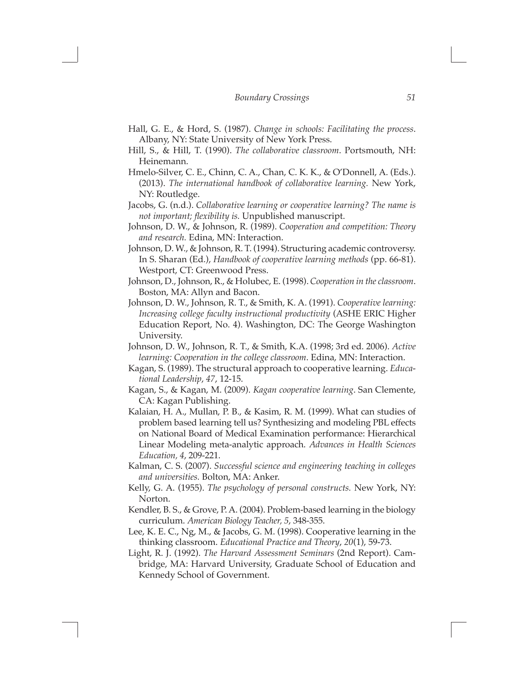$\Box$ 

- Hall, G. E., & Hord, S. (1987). *Change in schools: Facilitating the process*. Albany, NY: State University of New York Press.
- Hill, S., & Hill, T. (1990). *The collaborative classroom*. Portsmouth, NH: Heinemann.
- Hmelo-Silver, C. E., Chinn, C. A., Chan, C. K. K., & O'Donnell, A. (Eds.). (2013). *The international handbook of collaborative learning.* New York, NY: Routledge.
- Jacobs, G. (n.d.). *Collaborative learning or cooperative learning? The name is not important; flexibility is.* Unpublished manuscript.
- Johnson, D. W., & Johnson, R. (1989). *Cooperation and competition: Theory and research.* Edina, MN: Interaction.
- Johnson, D. W., & Johnson, R. T. (1994). Structuring academic controversy. In S. Sharan (Ed.), *Handbook of cooperative learning methods* (pp. 66-81). Westport, CT: Greenwood Press.
- Johnson, D., Johnson, R., & Holubec, E. (1998). *Cooperation in the classroom*. Boston, MA: Allyn and Bacon.
- Johnson, D. W., Johnson, R. T., & Smith, K. A. (1991). *Cooperative learning: Increasing college faculty instructional productivity* (ASHE ERIC Higher Education Report, No. 4). Washington, DC: The George Washington University.
- Johnson, D. W., Johnson, R. T., & Smith, K.A. (1998; 3rd ed. 2006). *Active learning: Cooperation in the college classroom*. Edina, MN: Interaction.
- Kagan, S. (1989). The structural approach to cooperative learning. *Educational Leadership*, *47*, 12-15.
- Kagan, S., & Kagan, M. (2009). *Kagan cooperative learning*. San Clemente, CA: Kagan Publishing.
- Kalaian, H. A., Mullan, P. B., & Kasim, R. M. (1999). What can studies of problem based learning tell us? Synthesizing and modeling PBL effects on National Board of Medical Examination performance: Hierarchical Linear Modeling meta-analytic approach. *Advances in Health Sciences Education, 4*, 209-221.
- Kalman, C. S. (2007). *Successful science and engineering teaching in colleges and universities.* Bolton, MA: Anker.
- Kelly, G. A. (1955). *The psychology of personal constructs.* New York, NY: Norton.
- Kendler, B. S., & Grove, P. A. (2004). Problem-based learning in the biology curriculum. *American Biology Teacher, 5*, 348-355.
- Lee, K. E. C., Ng, M., & Jacobs, G. M. (1998). Cooperative learning in the thinking classroom. *Educational Practice and Theory*, *20*(1), 59-73.
- Light, R. J. (1992). *The Harvard Assessment Seminars* (2nd Report). Cambridge, MA: Harvard University, Graduate School of Education and Kennedy School of Government.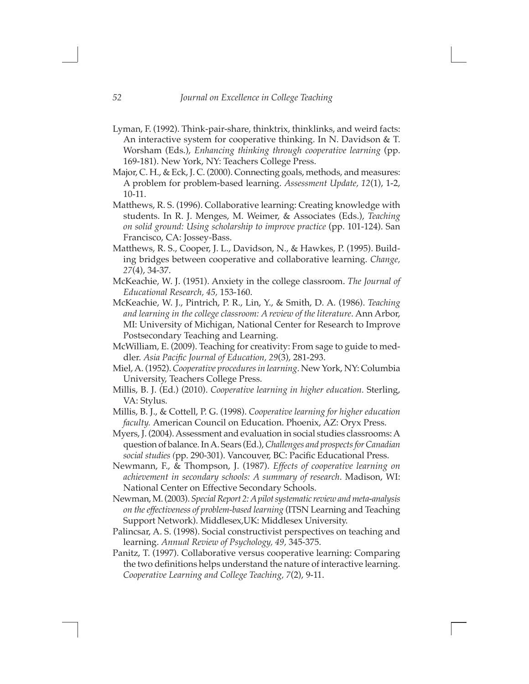- Lyman, F. (1992). Think-pair-share, thinktrix, thinklinks, and weird facts: An interactive system for cooperative thinking. In N. Davidson & T. Worsham (Eds.), *Enhancing thinking through cooperative learning* (pp. 169-181). New York, NY: Teachers College Press.
- Major, C. H., & Eck, J. C. (2000). Connecting goals, methods, and measures: A problem for problem-based learning. *Assessment Update, 12*(1), 1-2, 10-11.
- Matthews, R. S. (1996). Collaborative learning: Creating knowledge with students. In R. J. Menges, M. Weimer, & Associates (Eds.), *Teaching on solid ground: Using scholarship to improve practice* (pp. 101-124). San Francisco, CA: Jossey-Bass.
- Matthews, R. S., Cooper, J. L., Davidson, N., & Hawkes, P. (1995). Building bridges between cooperative and collaborative learning. *Change, 27*(4), 34-37.
- McKeachie, W. J. (1951). Anxiety in the college classroom. *The Journal of Educational Research, 45,* 153-160.
- McKeachie, W. J., Pintrich, P. R., Lin, Y., & Smith, D. A. (1986). *Teaching and learning in the college classroom: A review of the literature*. Ann Arbor, MI: University of Michigan, National Center for Research to Improve Postsecondary Teaching and Learning.
- McWilliam, E. (2009). Teaching for creativity: From sage to guide to meddler. *Asia Pacific Journal of Education, 29*(3), 281-293.
- Miel, A. (1952). *Cooperative procedures in learning*. New York, NY: Columbia University, Teachers College Press.
- Millis, B. J. (Ed.) (2010). *Cooperative learning in higher education.* Sterling, VA: Stylus.
- Millis, B. J., & Cottell, P. G. (1998). *Cooperative learning for higher education faculty.* American Council on Education. Phoenix, AZ: Oryx Press.
- Myers, J. (2004). Assessment and evaluation in social studies classrooms: A question of balance. In A. Sears (Ed.), *Challenges and prospects for Canadian social studies (*pp. 290-301). Vancouver, BC: Pacific Educational Press.
- Newmann, F., & Thompson, J. (1987). *Effects of cooperative learning on achievement in secondary schools: A summary of research*. Madison, WI: National Center on Effective Secondary Schools.
- Newman, M. (2003). *Special Report 2: A pilot systematic review and meta-analysis on the effectiveness of problem-based learning* (ITSN Learning and Teaching Support Network). Middlesex,UK: Middlesex University.
- Palincsar, A. S. (1998). Social constructivist perspectives on teaching and learning. *Annual Review of Psychology, 49,* 345-375.
- Panitz, T. (1997). Collaborative versus cooperative learning: Comparing the two definitions helps understand the nature of interactive learning. *Cooperative Learning and College Teaching, 7*(2), 9-11.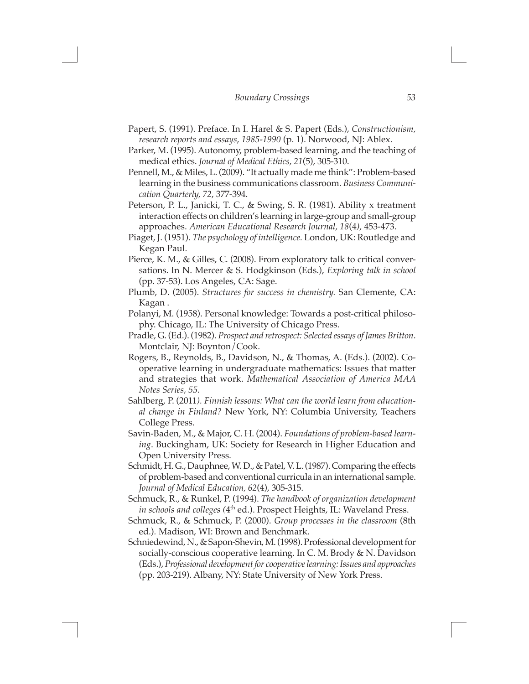$\Box$ 

- Papert, S. (1991). Preface. In I. Harel & S. Papert (Eds.), *Constructionism, research reports and essays*, *1985-1990* (p. 1). Norwood, NJ: Ablex.
- Parker, M. (1995). Autonomy, problem-based learning, and the teaching of medical ethics. *Journal of Medical Ethics, 21*(5), 305-310.
- Pennell, M., & Miles, L. (2009). "It actually made me think": Problem-based learning in the business communications classroom. *Business Communication Quarterly, 72*, 377-394.
- Peterson, P. L., Janicki, T. C., & Swing, S. R. (1981). Ability x treatment interaction effects on children's learning in large-group and small-group approaches. *American Educational Research Journal, 18*(4*),* 453-473.
- Piaget, J. (1951). *The psychology of intelligence.* London, UK: Routledge and Kegan Paul.
- Pierce, K. M., & Gilles, C. (2008). From exploratory talk to critical conversations. In N. Mercer & S. Hodgkinson (Eds.), *Exploring talk in school* (pp. 37-53). Los Angeles, CA: Sage.
- Plumb, D. (2005). *Structures for success in chemistry.* San Clemente, CA: Kagan .
- Polanyi, M. (1958). Personal knowledge: Towards a post-critical philosophy. Chicago, IL: The University of Chicago Press.
- Pradle, G. (Ed.). (1982). *Prospect and retrospect: Selected essays of James Britton*. Montclair, NJ: Boynton/Cook.
- Rogers, B., Reynolds, B., Davidson, N., & Thomas, A. (Eds.). (2002). Cooperative learning in undergraduate mathematics: Issues that matter and strategies that work. *Mathematical Association of America MAA Notes Series, 55*.
- Sahlberg, P. (2011*). Finnish lessons: What can the world learn from educational change in Finland?* New York, NY: Columbia University, Teachers College Press.
- Savin-Baden, M., & Major, C. H. (2004). *Foundations of problem-based learning*. Buckingham, UK: Society for Research in Higher Education and Open University Press.
- Schmidt, H. G., Dauphnee, W. D., & Patel, V. L. (1987). Comparing the effects of problem-based and conventional curricula in an international sample. *Journal of Medical Education, 62*(4), 305-315.
- Schmuck, R., & Runkel, P. (1994). *The handbook of organization development in schools and colleges (*4th ed.). Prospect Heights, IL: Waveland Press.
- Schmuck, R., & Schmuck, P. (2000). *Group processes in the classroom* (8th ed.)*.* Madison, WI: Brown and Benchmark.
- Schniedewind, N., & Sapon-Shevin, M. (1998). Professional development for socially-conscious cooperative learning. In C. M. Brody & N. Davidson (Eds.), *Professional development for cooperative learning: Issues and approaches*  (pp. 203-219). Albany, NY: State University of New York Press.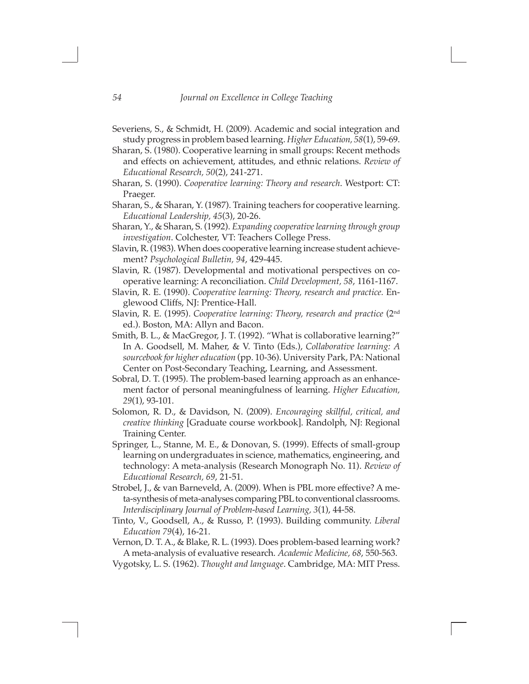- Severiens, S., & Schmidt, H. (2009). Academic and social integration and study progress in problem based learning. *Higher Education, 58*(1), 59-69.
- Sharan, S. (1980). Cooperative learning in small groups: Recent methods and effects on achievement, attitudes, and ethnic relations. *Review of Educational Research, 50*(2), 241-271.
- Sharan, S. (1990). *Cooperative learning: Theory and research*. Westport: CT: Praeger.
- Sharan, S., & Sharan, Y. (1987). Training teachers for cooperative learning. *Educational Leadership, 45*(3), 20-26.
- Sharan, Y., & Sharan, S. (1992). *Expanding cooperative learning through group investigation*. Colchester, VT: Teachers College Press.
- Slavin, R. (1983). When does cooperative learning increase student achievement? *Psychological Bulletin, 94*, 429-445.
- Slavin, R. (1987). Developmental and motivational perspectives on cooperative learning: A reconciliation. *Child Development, 58*, 1161-1167.
- Slavin, R. E. (1990). *Cooperative learning: Theory, research and practice.* Englewood Cliffs, NJ: Prentice-Hall.
- Slavin, R. E. (1995). *Cooperative learning: Theory, research and practice* (2nd ed.). Boston, MA: Allyn and Bacon.
- Smith, B. L., & MacGregor, J. T. (1992). "What is collaborative learning?" In A. Goodsell, M. Maher, & V. Tinto (Eds.), *Collaborative learning: A sourcebook for higher education* (pp. 10-36). University Park, PA: National Center on Post-Secondary Teaching, Learning, and Assessment.
- Sobral, D. T. (1995). The problem-based learning approach as an enhancement factor of personal meaningfulness of learning. *Higher Education, 29*(1), 93-101.
- Solomon, R. D., & Davidson, N. (2009). *Encouraging skillful, critical, and creative thinking* [Graduate course workbook]. Randolph, NJ: Regional Training Center.
- Springer, L., Stanne, M. E., & Donovan, S. (1999). Effects of small-group learning on undergraduates in science, mathematics, engineering, and technology: A meta-analysis (Research Monograph No. 11). *Review of Educational Research, 69*, 21-51.
- Strobel, J., & van Barneveld, A. (2009). When is PBL more effective? A meta-synthesis of meta-analyses comparing PBL to conventional classrooms. *Interdisciplinary Journal of Problem-based Learning, 3*(1), 44-58.
- Tinto, V., Goodsell, A., & Russo, P. (1993). Building community. *Liberal Education 79*(4), 16-21.
- Vernon, D. T. A., & Blake, R. L. (1993). Does problem-based learning work? A meta-analysis of evaluative research. *Academic Medicine, 68*, 550-563.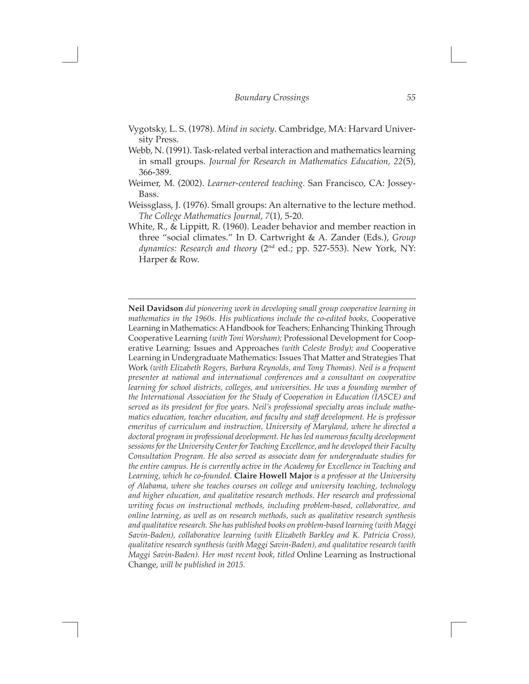$\Box$ 

- Vygotsky, L. S. (1978). *Mind in society*. Cambridge, MA: Harvard University Press.
- Webb, N. (1991). Task-related verbal interaction and mathematics learning in small groups. *Journal for Research in Mathematics Education, 22*(5), 366-389.
- Weimer, M. (2002). *Learner-centered teaching.* San Francisco, CA: Jossey-Bass.
- Weissglass, J. (1976). Small groups: An alternative to the lecture method. *The College Mathematics Journal*, *7*(1), 5-20.
- White, R., & Lippitt, R. (1960). Leader behavior and member reaction in three "social climates." In D. Cartwright & A. Zander (Eds.), *Group*  dynamics: Research and theory (2<sup>nd</sup> ed.; pp. 527-553). New York, NY: Harper & Row.

**Neil Davidson** *did pioneering work in developing small group cooperative learning in mathematics in the 1960s. His publications include the co-edited books, C*ooperative Learning in Mathematics: A Handbook for Teachers; Enhancing Thinking Through Cooperative Learning *(with Toni Worsham);* Professional Development for Cooperative Learning: Issues and Approaches *(with Celeste Brody); and C*ooperative Learning in Undergraduate Mathematics: Issues That Matter and Strategies That Work *(with Elizabeth Rogers, Barbara Reynolds, and Tony Thomas). Neil is a frequent presenter at national and international conferences and a consultant on cooperative learning for school districts, colleges, and universities. He was a founding member of the International Association for the Study of Cooperation in Education (IASCE) and served as its president for five years. Neil's professional specialty areas include mathematics education, teacher education, and faculty and staff development. He is professor emeritus of curriculum and instruction, University of Maryland, where he directed a doctoral program in professional development. He has led numerous faculty development sessions for the University Center for Teaching Excellence, and he developed their Faculty Consultation Program. He also served as associate dean for undergraduate studies for the entire campus. He is currently active in the Academy for Excellence in Teaching and Learning, which he co-founded.* **Claire Howell Major** *is a professor at the University of Alabama, where she teaches courses on college and university teaching, technology*  and higher education, and qualitative research methods. Her research and professional *writing focus on instructional methods, including problem-based, collaborative, and online learning, as well as on research methods, such as qualitative research synthesis and qualitative research. She has published books on problem-based learning (with Maggi Savin-Baden), collaborative learning (with Elizabeth Barkley and K. Patricia Cross), qualitative research synthesis (with Maggi Savin-Baden), and qualitative research (with Maggi Savin-Baden). Her most recent book, titled* Online Learning as Instructional Change, *will be published in 2015.*